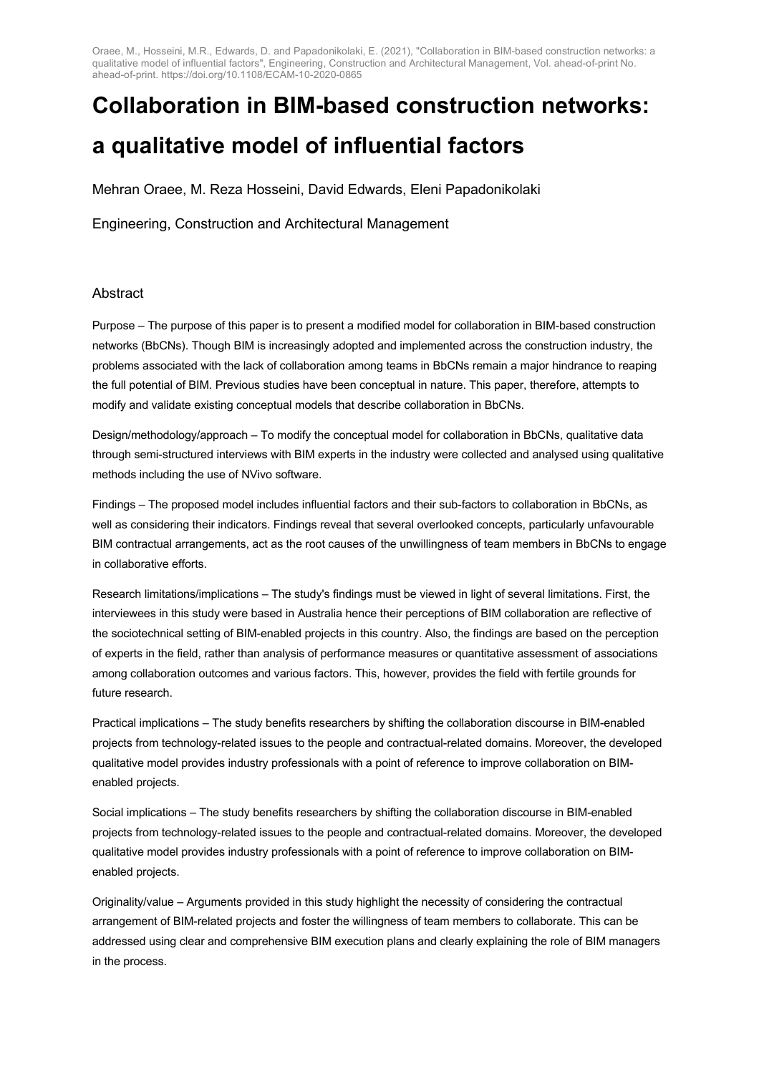# **Collaboration in BIM-based construction networks: a qualitative model of influential factors**

Mehran Oraee, M. Reza Hosseini, David Edwards, Eleni Papadonikolaki

Engineering, Construction and Architectural Management

#### Abstract

Purpose – The purpose of this paper is to present a modified model for collaboration in BIM-based construction networks (BbCNs). Though BIM is increasingly adopted and implemented across the construction industry, the problems associated with the lack of collaboration among teams in BbCNs remain a major hindrance to reaping the full potential of BIM. Previous studies have been conceptual in nature. This paper, therefore, attempts to modify and validate existing conceptual models that describe collaboration in BbCNs.

Design/methodology/approach – To modify the conceptual model for collaboration in BbCNs, qualitative data through semi-structured interviews with BIM experts in the industry were collected and analysed using qualitative methods including the use of NVivo software.

Findings – The proposed model includes influential factors and their sub-factors to collaboration in BbCNs, as well as considering their indicators. Findings reveal that several overlooked concepts, particularly unfavourable BIM contractual arrangements, act as the root causes of the unwillingness of team members in BbCNs to engage in collaborative efforts.

Research limitations/implications – The study's findings must be viewed in light of several limitations. First, the interviewees in this study were based in Australia hence their perceptions of BIM collaboration are reflective of the sociotechnical setting of BIM-enabled projects in this country. Also, the findings are based on the perception of experts in the field, rather than analysis of performance measures or quantitative assessment of associations among collaboration outcomes and various factors. This, however, provides the field with fertile grounds for future research.

Practical implications – The study benefits researchers by shifting the collaboration discourse in BIM-enabled projects from technology-related issues to the people and contractual-related domains. Moreover, the developed qualitative model provides industry professionals with a point of reference to improve collaboration on BIMenabled projects.

Social implications – The study benefits researchers by shifting the collaboration discourse in BIM-enabled projects from technology-related issues to the people and contractual-related domains. Moreover, the developed qualitative model provides industry professionals with a point of reference to improve collaboration on BIMenabled projects.

Originality/value – Arguments provided in this study highlight the necessity of considering the contractual arrangement of BIM-related projects and foster the willingness of team members to collaborate. This can be addressed using clear and comprehensive BIM execution plans and clearly explaining the role of BIM managers in the process.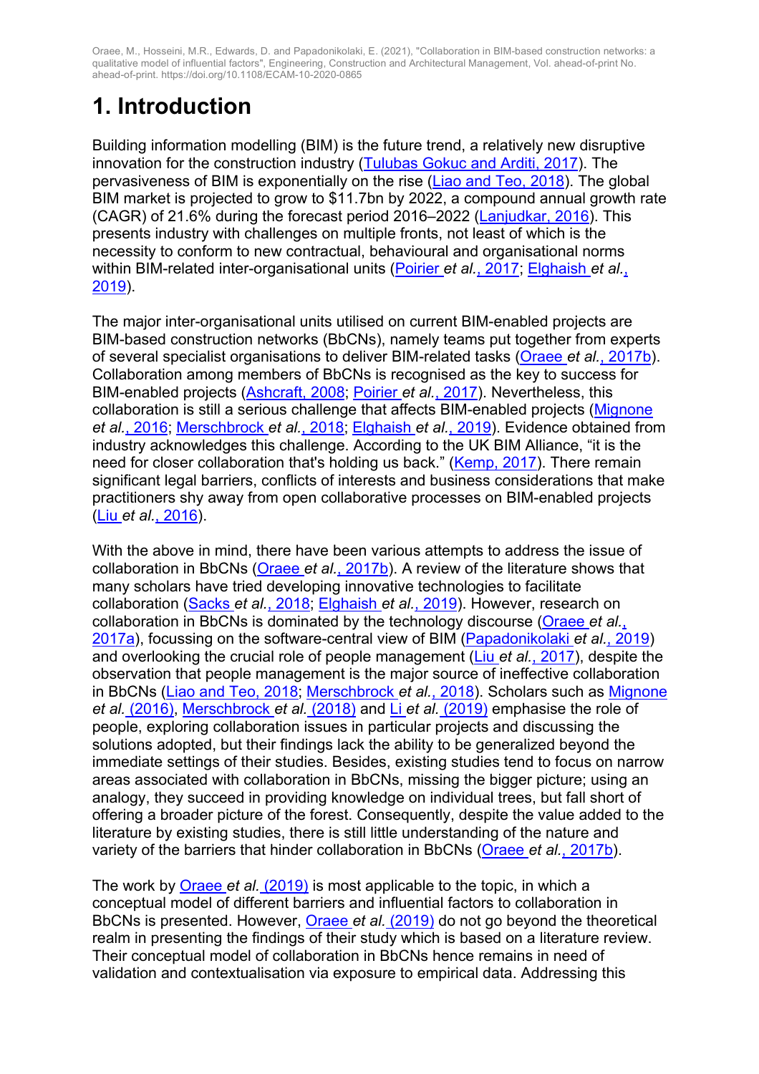# **1. Introduction**

Building information modelling (BIM) is the future trend, a relatively new disruptive innovation for the construction industry (Tulubas Gokuc and Arditi, 2017). The pervasiveness of BIM is exponentially on the rise (Liao and Teo, 2018). The global BIM market is projected to grow to \$11.7bn by 2022, a compound annual growth rate (CAGR) of 21.6% during the forecast period 2016–2022 (Lanjudkar, 2016). This presents industry with challenges on multiple fronts, not least of which is the necessity to conform to new contractual, behavioural and organisational norms within BIM-related inter-organisational units (Poirier *et al.*, 2017; Elghaish *et al.*, 2019).

The major inter-organisational units utilised on current BIM-enabled projects are BIM-based construction networks (BbCNs), namely teams put together from experts of several specialist organisations to deliver BIM-related tasks (Oraee *et al.*, 2017b). Collaboration among members of BbCNs is recognised as the key to success for BIM-enabled projects (Ashcraft, 2008; Poirier *et al.*, 2017). Nevertheless, this collaboration is still a serious challenge that affects BIM-enabled projects (Mignone *et al.*, 2016; Merschbrock *et al.*, 2018; Elghaish *et al.*, 2019). Evidence obtained from industry acknowledges this challenge. According to the UK BIM Alliance, "it is the need for closer collaboration that's holding us back." (Kemp, 2017). There remain significant legal barriers, conflicts of interests and business considerations that make practitioners shy away from open collaborative processes on BIM-enabled projects (Liu *et al.*, 2016).

With the above in mind, there have been various attempts to address the issue of collaboration in BbCNs (Oraee *et al.*, 2017b). A review of the literature shows that many scholars have tried developing innovative technologies to facilitate collaboration (Sacks *et al.*, 2018; Elghaish *et al.*, 2019). However, research on collaboration in BbCNs is dominated by the technology discourse (Oraee *et al.*, 2017a), focussing on the software-central view of BIM (Papadonikolaki *et al.*, 2019) and overlooking the crucial role of people management (Liu *et al.*, 2017), despite the observation that people management is the major source of ineffective collaboration in BbCNs (Liao and Teo, 2018; Merschbrock *et al.*, 2018). Scholars such as Mignone *et al.* (2016), Merschbrock *et al.* (2018) and Li *et al.* (2019) emphasise the role of people, exploring collaboration issues in particular projects and discussing the solutions adopted, but their findings lack the ability to be generalized beyond the immediate settings of their studies. Besides, existing studies tend to focus on narrow areas associated with collaboration in BbCNs, missing the bigger picture; using an analogy, they succeed in providing knowledge on individual trees, but fall short of offering a broader picture of the forest. Consequently, despite the value added to the literature by existing studies, there is still little understanding of the nature and variety of the barriers that hinder collaboration in BbCNs (Oraee *et al.*, 2017b).

The work by Oraee *et al.* (2019) is most applicable to the topic, in which a conceptual model of different barriers and influential factors to collaboration in BbCNs is presented. However, Oraee *et al.* (2019) do not go beyond the theoretical realm in presenting the findings of their study which is based on a literature review. Their conceptual model of collaboration in BbCNs hence remains in need of validation and contextualisation via exposure to empirical data. Addressing this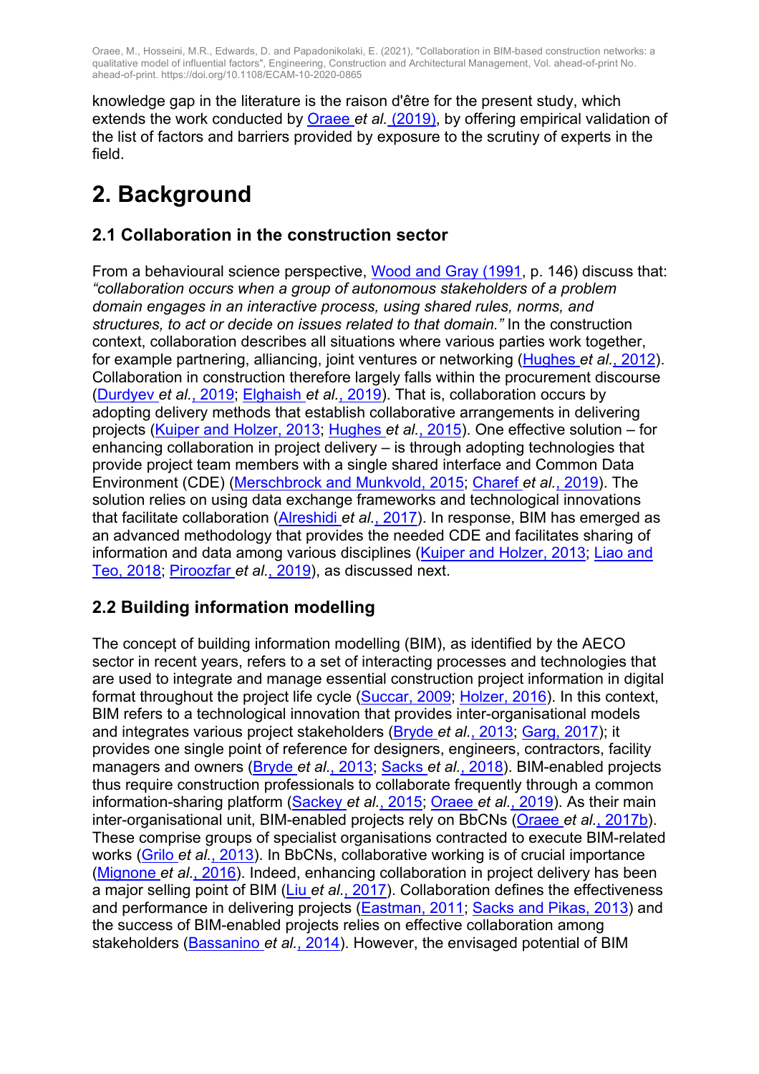knowledge gap in the literature is the raison d'être for the present study, which extends the work conducted by Oraee *et al.* (2019), by offering empirical validation of the list of factors and barriers provided by exposure to the scrutiny of experts in the field.

## **2. Background**

## **2.1 Collaboration in the construction sector**

From a behavioural science perspective, Wood and Gray (1991, p. 146) discuss that: *"collaboration occurs when a group of autonomous stakeholders of a problem domain engages in an interactive process, using shared rules, norms, and structures, to act or decide on issues related to that domain."* In the construction context, collaboration describes all situations where various parties work together, for example partnering, alliancing, joint ventures or networking (Hughes *et al.*, 2012). Collaboration in construction therefore largely falls within the procurement discourse (Durdyev *et al.*, 2019; Elghaish *et al.*, 2019). That is, collaboration occurs by adopting delivery methods that establish collaborative arrangements in delivering projects (Kuiper and Holzer, 2013; Hughes *et al.*, 2015). One effective solution – for enhancing collaboration in project delivery – is through adopting technologies that provide project team members with a single shared interface and Common Data Environment (CDE) (Merschbrock and Munkvold, 2015; Charef *et al.*, 2019). The solution relies on using data exchange frameworks and technological innovations that facilitate collaboration (Alreshidi *et al.*, 2017). In response, BIM has emerged as an advanced methodology that provides the needed CDE and facilitates sharing of information and data among various disciplines (Kuiper and Holzer, 2013; Liao and Teo, 2018; Piroozfar *et al.*, 2019), as discussed next.

### **2.2 Building information modelling**

The concept of building information modelling (BIM), as identified by the AECO sector in recent years, refers to a set of interacting processes and technologies that are used to integrate and manage essential construction project information in digital format throughout the project life cycle (Succar, 2009; Holzer, 2016). In this context, BIM refers to a technological innovation that provides inter-organisational models and integrates various project stakeholders (Bryde *et al.*, 2013; Garg, 2017); it provides one single point of reference for designers, engineers, contractors, facility managers and owners (Bryde *et al.*, 2013; Sacks *et al.*, 2018). BIM-enabled projects thus require construction professionals to collaborate frequently through a common information-sharing platform (Sackey *et al.*, 2015; Oraee *et al.*, 2019). As their main inter-organisational unit, BIM-enabled projects rely on BbCNs (Oraee *et al.*, 2017b). These comprise groups of specialist organisations contracted to execute BIM-related works (Grilo *et al.*, 2013). In BbCNs, collaborative working is of crucial importance (Mignone *et al.*, 2016). Indeed, enhancing collaboration in project delivery has been a major selling point of BIM (Liu *et al.*, 2017). Collaboration defines the effectiveness and performance in delivering projects (Eastman, 2011; Sacks and Pikas, 2013) and the success of BIM-enabled projects relies on effective collaboration among stakeholders (Bassanino *et al.*, 2014). However, the envisaged potential of BIM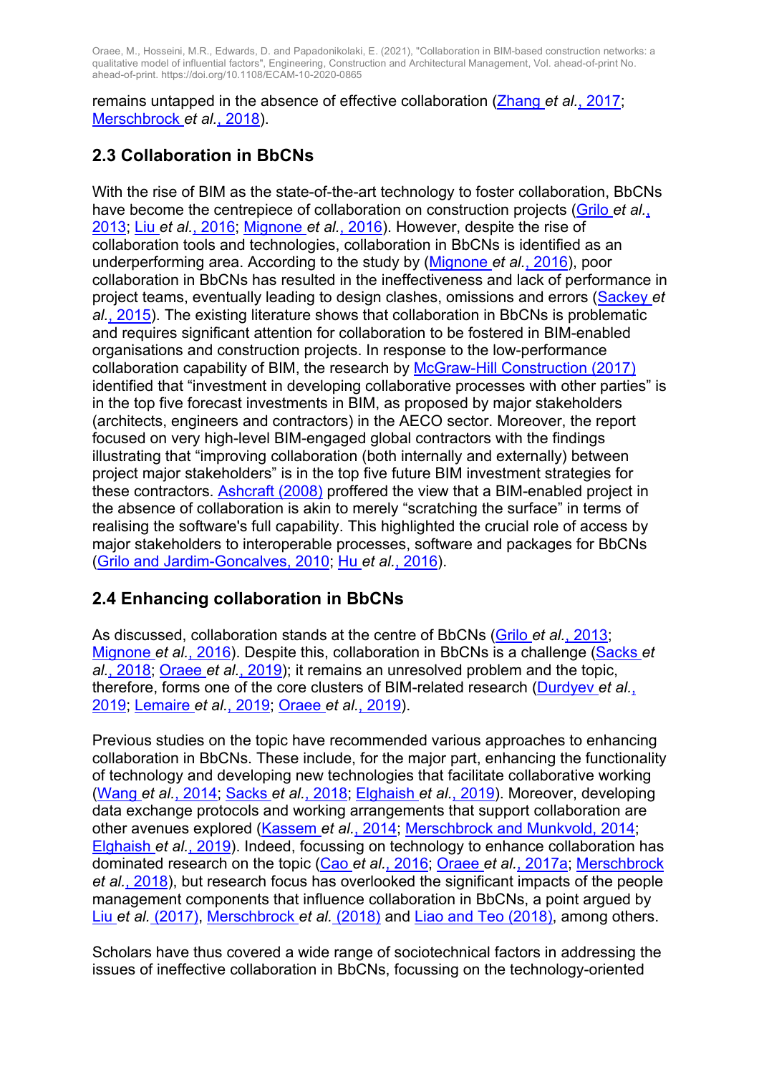remains untapped in the absence of effective collaboration (Zhang *et al.*, 2017; Merschbrock *et al.*, 2018).

## **2.3 Collaboration in BbCNs**

With the rise of BIM as the state-of-the-art technology to foster collaboration, BbCNs have become the centrepiece of collaboration on construction projects (Grilo *et al.*, 2013; Liu *et al.*, 2016; Mignone *et al.*, 2016). However, despite the rise of collaboration tools and technologies, collaboration in BbCNs is identified as an underperforming area. According to the study by (Mignone *et al.*, 2016), poor collaboration in BbCNs has resulted in the ineffectiveness and lack of performance in project teams, eventually leading to design clashes, omissions and errors (Sackey *et al.*, 2015). The existing literature shows that collaboration in BbCNs is problematic and requires significant attention for collaboration to be fostered in BIM-enabled organisations and construction projects. In response to the low-performance collaboration capability of BIM, the research by McGraw-Hill Construction (2017) identified that "investment in developing collaborative processes with other parties" is in the top five forecast investments in BIM, as proposed by major stakeholders (architects, engineers and contractors) in the AECO sector. Moreover, the report focused on very high-level BIM-engaged global contractors with the findings illustrating that "improving collaboration (both internally and externally) between project major stakeholders" is in the top five future BIM investment strategies for these contractors. Ashcraft (2008) proffered the view that a BIM-enabled project in the absence of collaboration is akin to merely "scratching the surface" in terms of realising the software's full capability. This highlighted the crucial role of access by major stakeholders to interoperable processes, software and packages for BbCNs (Grilo and Jardim-Goncalves, 2010; Hu *et al.*, 2016).

### **2.4 Enhancing collaboration in BbCNs**

As discussed, collaboration stands at the centre of BbCNs (Grilo *et al.*, 2013; Mignone *et al.*, 2016). Despite this, collaboration in BbCNs is a challenge (Sacks *et al.*, 2018; Oraee *et al.*, 2019); it remains an unresolved problem and the topic, therefore, forms one of the core clusters of BIM-related research (Durdyev *et al.*, 2019; Lemaire *et al.*, 2019; Oraee *et al.*, 2019).

Previous studies on the topic have recommended various approaches to enhancing collaboration in BbCNs. These include, for the major part, enhancing the functionality of technology and developing new technologies that facilitate collaborative working (Wang *et al.*, 2014; Sacks *et al.*, 2018; Elghaish *et al.*, 2019). Moreover, developing data exchange protocols and working arrangements that support collaboration are other avenues explored (Kassem *et al.*, 2014; Merschbrock and Munkvold, 2014; Elghaish *et al.*, 2019). Indeed, focussing on technology to enhance collaboration has dominated research on the topic (Cao *et al.*, 2016; Oraee *et al.*, 2017a; Merschbrock *et al.*, 2018), but research focus has overlooked the significant impacts of the people management components that influence collaboration in BbCNs, a point argued by Liu *et al.* (2017), Merschbrock *et al.* (2018) and Liao and Teo (2018), among others.

Scholars have thus covered a wide range of sociotechnical factors in addressing the issues of ineffective collaboration in BbCNs, focussing on the technology-oriented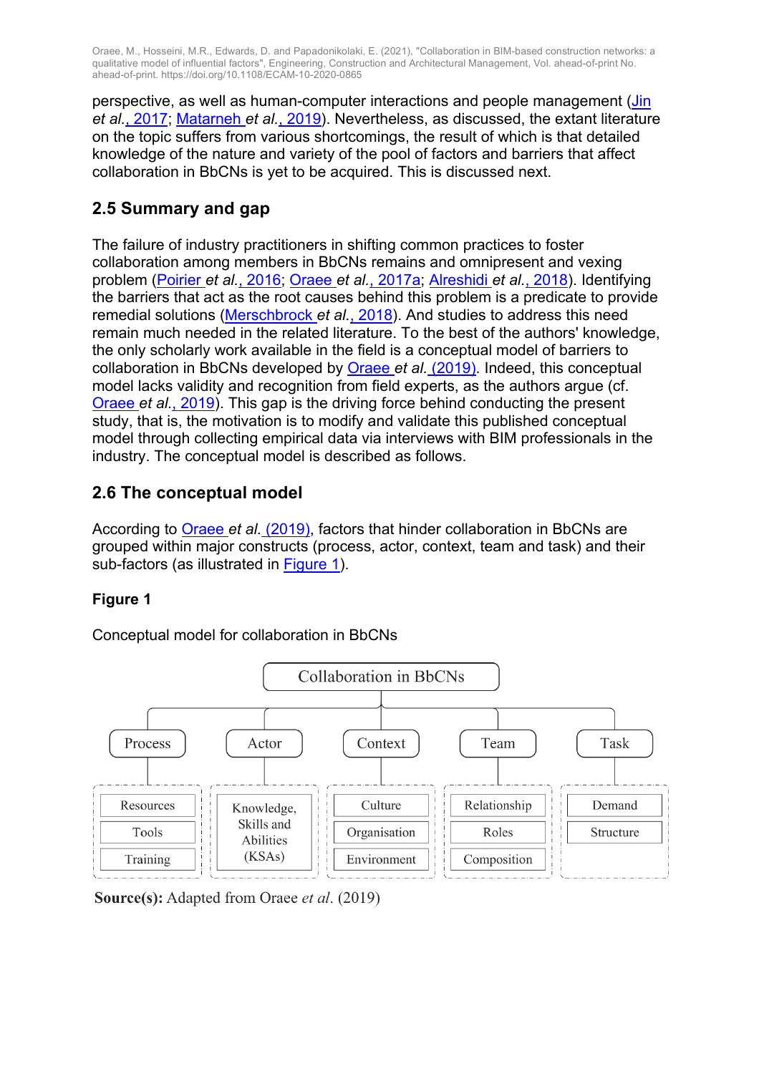perspective, as well as human-computer interactions and people management (Jin *et al.*, 2017; Matarneh *et al.*, 2019). Nevertheless, as discussed, the extant literature on the topic suffers from various shortcomings, the result of which is that detailed knowledge of the nature and variety of the pool of factors and barriers that affect collaboration in BbCNs is yet to be acquired. This is discussed next.

### **2.5 Summary and gap**

The failure of industry practitioners in shifting common practices to foster collaboration among members in BbCNs remains and omnipresent and vexing problem (Poirier *et al.*, 2016; Oraee *et al.*, 2017a; Alreshidi *et al.*, 2018). Identifying the barriers that act as the root causes behind this problem is a predicate to provide remedial solutions (Merschbrock *et al.*, 2018). And studies to address this need remain much needed in the related literature. To the best of the authors' knowledge, the only scholarly work available in the field is a conceptual model of barriers to collaboration in BbCNs developed by Oraee *et al.* (2019). Indeed, this conceptual model lacks validity and recognition from field experts, as the authors argue (cf. Oraee *et al.*, 2019). This gap is the driving force behind conducting the present study, that is, the motivation is to modify and validate this published conceptual model through collecting empirical data via interviews with BIM professionals in the industry. The conceptual model is described as follows.

### **2.6 The conceptual model**

According to Oraee *et al.* (2019), factors that hinder collaboration in BbCNs are grouped within major constructs (process, actor, context, team and task) and their sub-factors (as illustrated in Figure 1).

#### **Figure 1**

Conceptual model for collaboration in BbCNs



**Source(s):** Adapted from Orace et al. (2019)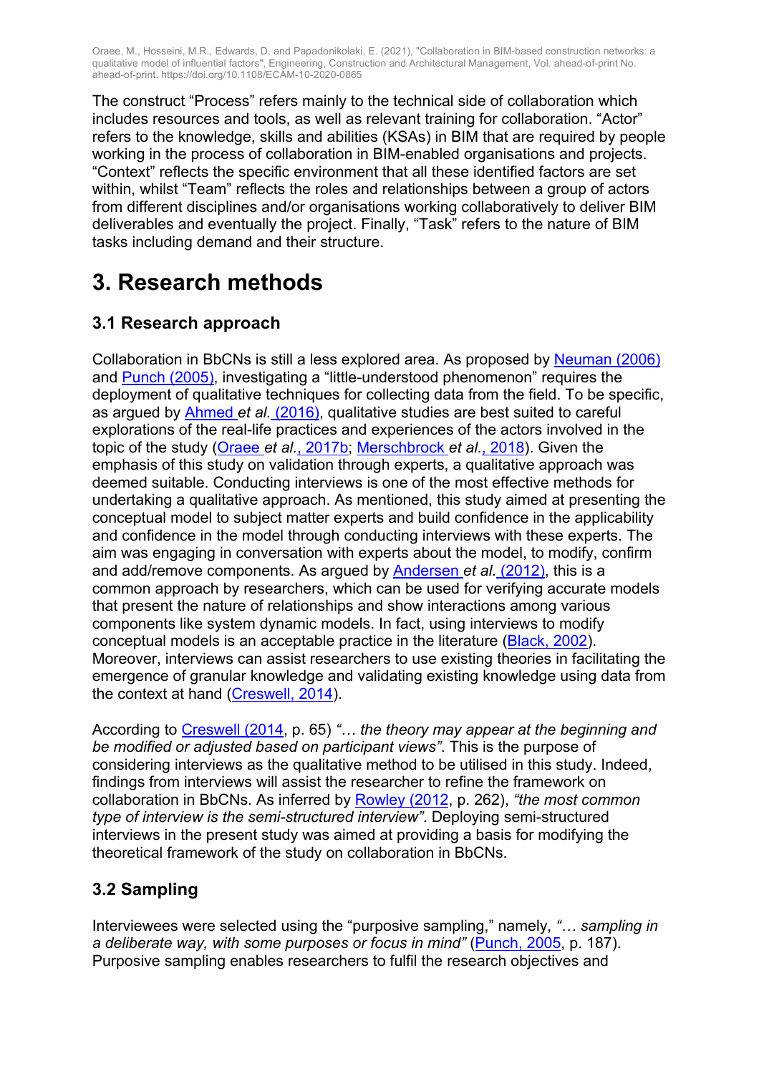The construct "Process" refers mainly to the technical side of collaboration which includes resources and tools, as well as relevant training for collaboration. "Actor" refers to the knowledge, skills and abilities (KSAs) in BIM that are required by people working in the process of collaboration in BIM-enabled organisations and projects. "Context" reflects the specific environment that all these identified factors are set within, whilst "Team" reflects the roles and relationships between a group of actors from different disciplines and/or organisations working collaboratively to deliver BIM deliverables and eventually the project. Finally, "Task" refers to the nature of BIM tasks including demand and their structure.

## **3. Research methods**

## **3.1 Research approach**

Collaboration in BbCNs is still a less explored area. As proposed by Neuman (2006) and Punch (2005), investigating a "little-understood phenomenon" requires the deployment of qualitative techniques for collecting data from the field. To be specific, as argued by Ahmed *et al.* (2016), qualitative studies are best suited to careful explorations of the real-life practices and experiences of the actors involved in the topic of the study (Oraee *et al.*, 2017b; Merschbrock *et al.*, 2018). Given the emphasis of this study on validation through experts, a qualitative approach was deemed suitable. Conducting interviews is one of the most effective methods for undertaking a qualitative approach. As mentioned, this study aimed at presenting the conceptual model to subject matter experts and build confidence in the applicability and confidence in the model through conducting interviews with these experts. The aim was engaging in conversation with experts about the model, to modify, confirm and add/remove components. As argued by Andersen *et al.* (2012), this is a common approach by researchers, which can be used for verifying accurate models that present the nature of relationships and show interactions among various components like system dynamic models. In fact, using interviews to modify conceptual models is an acceptable practice in the literature (Black, 2002). Moreover, interviews can assist researchers to use existing theories in facilitating the emergence of granular knowledge and validating existing knowledge using data from the context at hand (Creswell, 2014).

According to Creswell (2014, p. 65) *"… the theory may appear at the beginning and be modified or adjusted based on participant views"*. This is the purpose of considering interviews as the qualitative method to be utilised in this study. Indeed, findings from interviews will assist the researcher to refine the framework on collaboration in BbCNs. As inferred by Rowley (2012, p. 262), *"the most common type of interview is the semi-structured interview"*. Deploying semi-structured interviews in the present study was aimed at providing a basis for modifying the theoretical framework of the study on collaboration in BbCNs.

### **3.2 Sampling**

Interviewees were selected using the "purposive sampling," namely, *"… sampling in a deliberate way, with some purposes or focus in mind"* (Punch, 2005, p. 187). Purposive sampling enables researchers to fulfil the research objectives and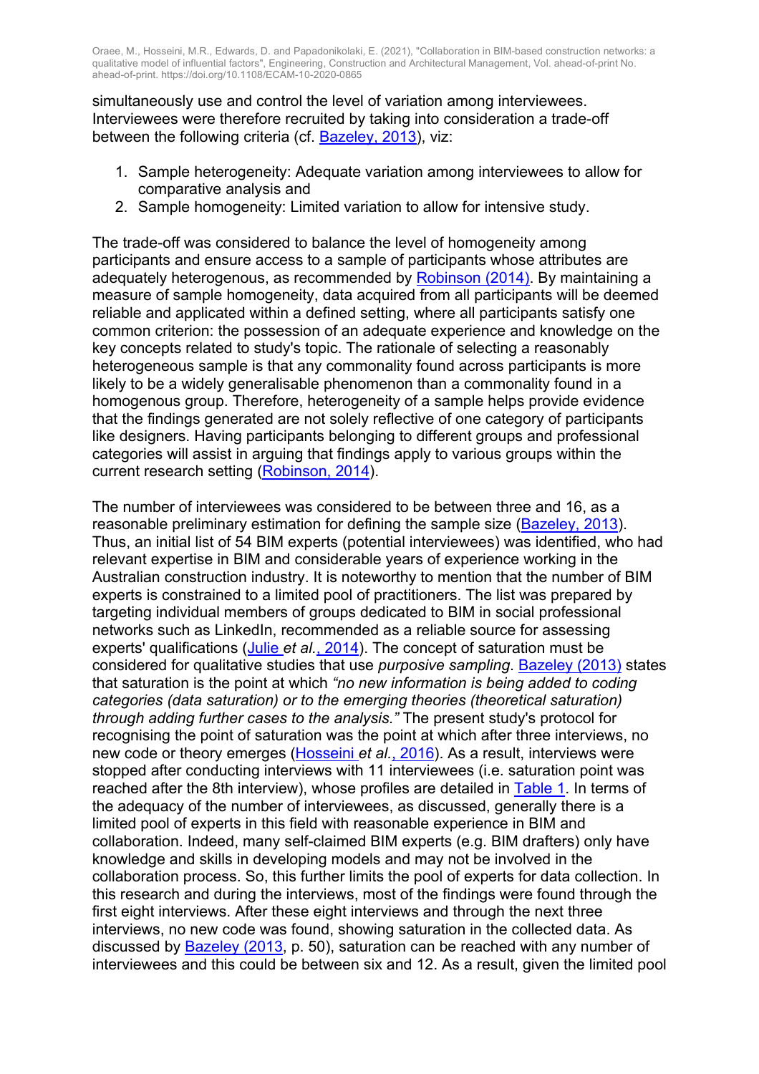simultaneously use and control the level of variation among interviewees. Interviewees were therefore recruited by taking into consideration a trade-off between the following criteria (cf. Bazeley, 2013), viz:

- 1. Sample heterogeneity: Adequate variation among interviewees to allow for comparative analysis and
- 2. Sample homogeneity: Limited variation to allow for intensive study.

The trade-off was considered to balance the level of homogeneity among participants and ensure access to a sample of participants whose attributes are adequately heterogenous, as recommended by Robinson (2014). By maintaining a measure of sample homogeneity, data acquired from all participants will be deemed reliable and applicated within a defined setting, where all participants satisfy one common criterion: the possession of an adequate experience and knowledge on the key concepts related to study's topic. The rationale of selecting a reasonably heterogeneous sample is that any commonality found across participants is more likely to be a widely generalisable phenomenon than a commonality found in a homogenous group. Therefore, heterogeneity of a sample helps provide evidence that the findings generated are not solely reflective of one category of participants like designers. Having participants belonging to different groups and professional categories will assist in arguing that findings apply to various groups within the current research setting (Robinson, 2014).

The number of interviewees was considered to be between three and 16, as a reasonable preliminary estimation for defining the sample size (Bazeley, 2013). Thus, an initial list of 54 BIM experts (potential interviewees) was identified, who had relevant expertise in BIM and considerable years of experience working in the Australian construction industry. It is noteworthy to mention that the number of BIM experts is constrained to a limited pool of practitioners. The list was prepared by targeting individual members of groups dedicated to BIM in social professional networks such as LinkedIn, recommended as a reliable source for assessing experts' qualifications (Julie *et al.*, 2014). The concept of saturation must be considered for qualitative studies that use *purposive sampling*. Bazeley (2013) states that saturation is the point at which *"no new information is being added to coding categories (data saturation) or to the emerging theories (theoretical saturation) through adding further cases to the analysis."* The present study's protocol for recognising the point of saturation was the point at which after three interviews, no new code or theory emerges (Hosseini *et al.*, 2016). As a result, interviews were stopped after conducting interviews with 11 interviewees (i.e. saturation point was reached after the 8th interview), whose profiles are detailed in Table 1. In terms of the adequacy of the number of interviewees, as discussed, generally there is a limited pool of experts in this field with reasonable experience in BIM and collaboration. Indeed, many self-claimed BIM experts (e.g. BIM drafters) only have knowledge and skills in developing models and may not be involved in the collaboration process. So, this further limits the pool of experts for data collection. In this research and during the interviews, most of the findings were found through the first eight interviews. After these eight interviews and through the next three interviews, no new code was found, showing saturation in the collected data. As discussed by Bazeley (2013, p. 50), saturation can be reached with any number of interviewees and this could be between six and 12. As a result, given the limited pool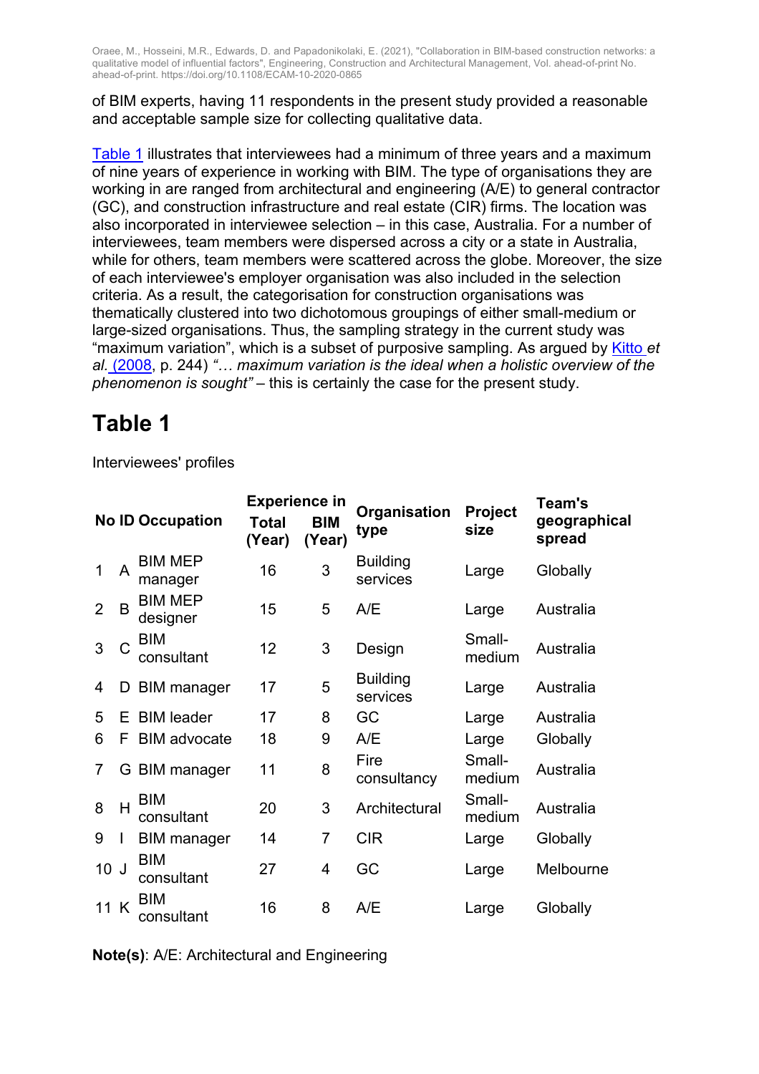of BIM experts, having 11 respondents in the present study provided a reasonable and acceptable sample size for collecting qualitative data.

Table 1 illustrates that interviewees had a minimum of three years and a maximum of nine years of experience in working with BIM. The type of organisations they are working in are ranged from architectural and engineering (A/E) to general contractor (GC), and construction infrastructure and real estate (CIR) firms. The location was also incorporated in interviewee selection – in this case, Australia. For a number of interviewees, team members were dispersed across a city or a state in Australia, while for others, team members were scattered across the globe. Moreover, the size of each interviewee's employer organisation was also included in the selection criteria. As a result, the categorisation for construction organisations was thematically clustered into two dichotomous groupings of either small-medium or large-sized organisations. Thus, the sampling strategy in the current study was "maximum variation", which is a subset of purposive sampling. As argued by Kitto *et al.* (2008, p. 244) *"… maximum variation is the ideal when a holistic overview of the phenomenon is sought"* – this is certainly the case for the present study.

## **Table 1**

Interviewees' profiles

|                |    |                            | <b>Experience in</b> |                      |                             |                        | Team's                 |
|----------------|----|----------------------------|----------------------|----------------------|-----------------------------|------------------------|------------------------|
|                |    | <b>No ID Occupation</b>    | Total<br>(Year)      | <b>BIM</b><br>(Year) | Organisation<br>type        | <b>Project</b><br>size | geographical<br>spread |
| 1              | A  | <b>BIM MEP</b><br>manager  | 16                   | 3                    | <b>Building</b><br>services | Large                  | Globally               |
| 2              | B  | <b>BIM MEP</b><br>designer | 15                   | 5                    | A/E                         | Large                  | Australia              |
| 3              | C  | <b>BIM</b><br>consultant   | 12                   | 3                    | Design                      | Small-<br>medium       | Australia              |
| 4              | D  | <b>BIM</b> manager         | 17                   | 5                    | <b>Building</b><br>services | Large                  | Australia              |
| 5              | E. | <b>BIM</b> leader          | 17                   | 8                    | GC                          | Large                  | Australia              |
| 6              | F  | <b>BIM</b> advocate        | 18                   | 9                    | A/E                         | Large                  | Globally               |
| $\overline{7}$ |    | G BIM manager              | 11                   | 8                    | Fire<br>consultancy         | Small-<br>medium       | Australia              |
| 8              | H  | <b>BIM</b><br>consultant   | 20                   | 3                    | Architectural               | Small-<br>medium       | Australia              |
| 9              |    | <b>BIM</b> manager         | 14                   | 7                    | <b>CIR</b>                  | Large                  | Globally               |
| 10J            |    | <b>BIM</b><br>consultant   | 27                   | 4                    | GC                          | Large                  | Melbourne              |
| 11 K           |    | <b>BIM</b><br>consultant   | 16                   | 8                    | A/E                         | Large                  | Globally               |

**Note(s)**: A/E: Architectural and Engineering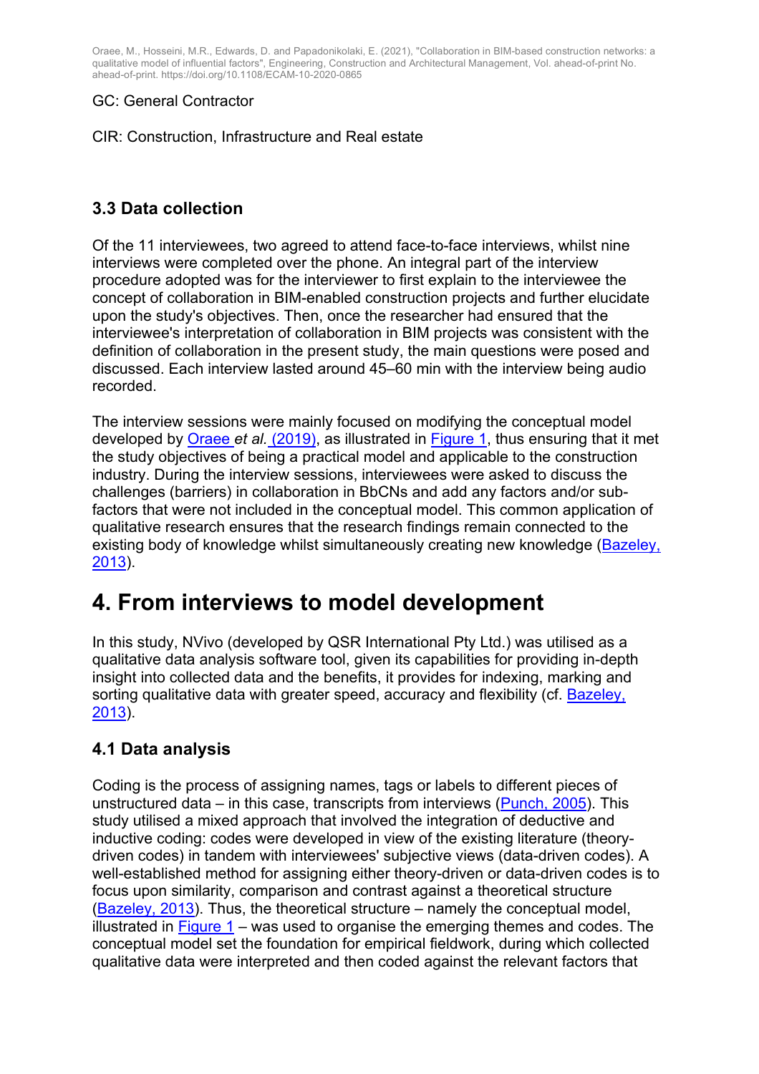#### GC: General Contractor

CIR: Construction, Infrastructure and Real estate

### **3.3 Data collection**

Of the 11 interviewees, two agreed to attend face-to-face interviews, whilst nine interviews were completed over the phone. An integral part of the interview procedure adopted was for the interviewer to first explain to the interviewee the concept of collaboration in BIM-enabled construction projects and further elucidate upon the study's objectives. Then, once the researcher had ensured that the interviewee's interpretation of collaboration in BIM projects was consistent with the definition of collaboration in the present study, the main questions were posed and discussed. Each interview lasted around 45–60 min with the interview being audio recorded.

The interview sessions were mainly focused on modifying the conceptual model developed by Oraee *et al.* (2019), as illustrated in Figure 1, thus ensuring that it met the study objectives of being a practical model and applicable to the construction industry. During the interview sessions, interviewees were asked to discuss the challenges (barriers) in collaboration in BbCNs and add any factors and/or subfactors that were not included in the conceptual model. This common application of qualitative research ensures that the research findings remain connected to the existing body of knowledge whilst simultaneously creating new knowledge (Bazeley, 2013).

## **4. From interviews to model development**

In this study, NVivo (developed by QSR International Pty Ltd.) was utilised as a qualitative data analysis software tool, given its capabilities for providing in-depth insight into collected data and the benefits, it provides for indexing, marking and sorting qualitative data with greater speed, accuracy and flexibility (cf. Bazeley, 2013).

### **4.1 Data analysis**

Coding is the process of assigning names, tags or labels to different pieces of unstructured data – in this case, transcripts from interviews (Punch, 2005). This study utilised a mixed approach that involved the integration of deductive and inductive coding: codes were developed in view of the existing literature (theorydriven codes) in tandem with interviewees' subjective views (data-driven codes). A well-established method for assigning either theory-driven or data-driven codes is to focus upon similarity, comparison and contrast against a theoretical structure (Bazeley, 2013). Thus, the theoretical structure – namely the conceptual model, illustrated in  $Figure 1 - was used to organize the emerging themes and codes. The$ conceptual model set the foundation for empirical fieldwork, during which collected qualitative data were interpreted and then coded against the relevant factors that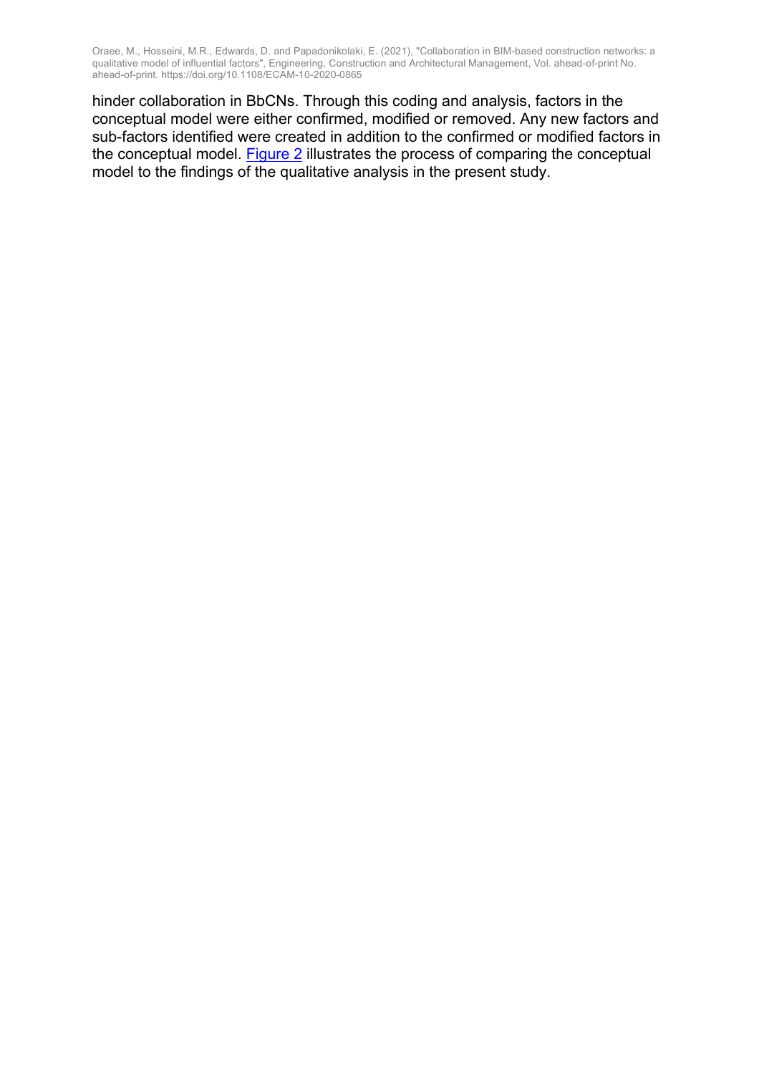hinder collaboration in BbCNs. Through this coding and analysis, factors in the conceptual model were either confirmed, modified or removed. Any new factors and sub-factors identified were created in addition to the confirmed or modified factors in the conceptual model. Figure 2 illustrates the process of comparing the conceptual model to the findings of the qualitative analysis in the present study.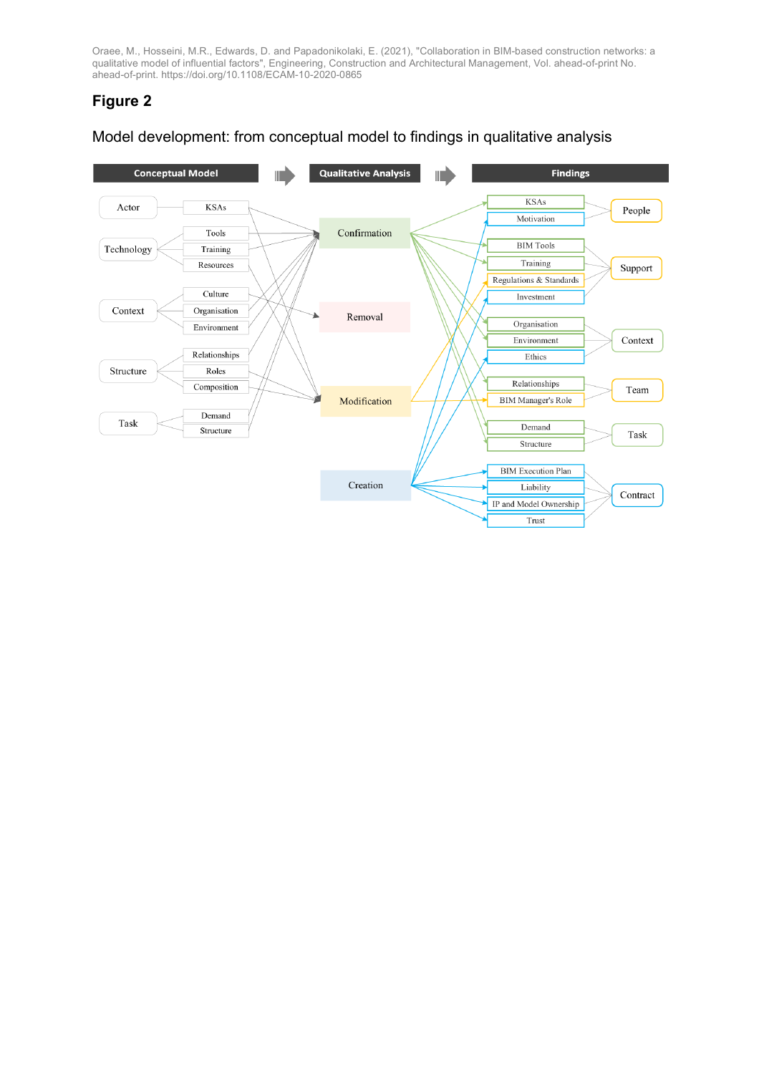### **Figure 2**

#### Model development: from conceptual model to findings in qualitative analysis

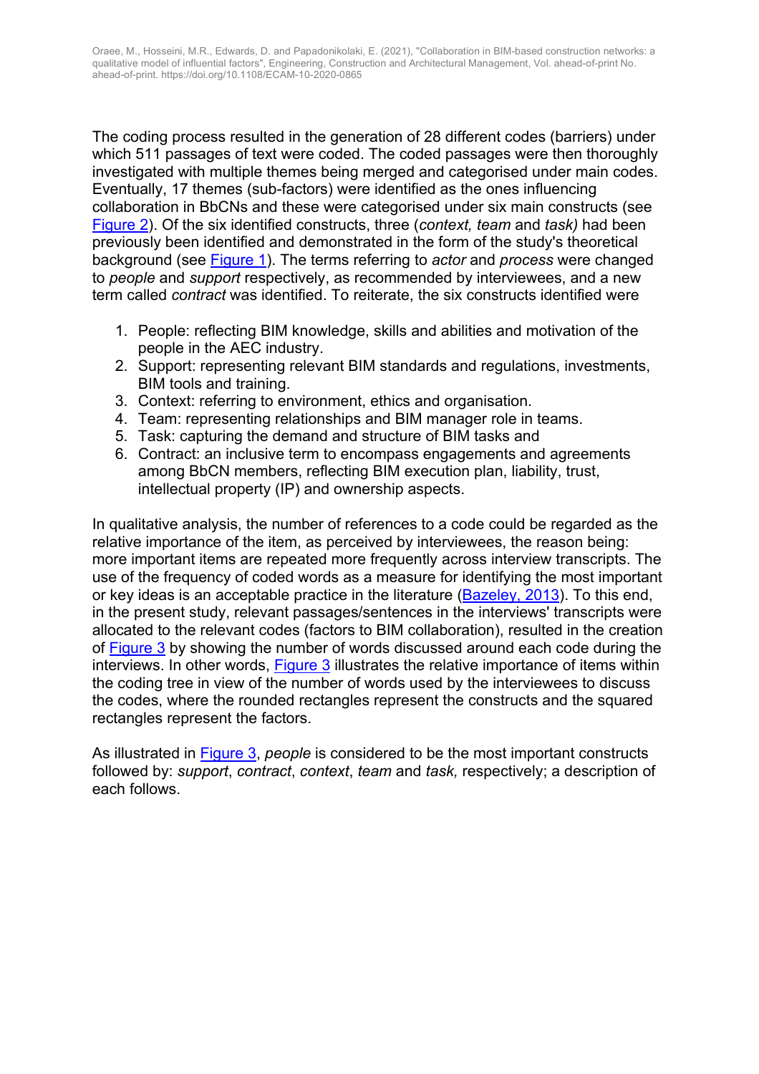The coding process resulted in the generation of 28 different codes (barriers) under which 511 passages of text were coded. The coded passages were then thoroughly investigated with multiple themes being merged and categorised under main codes. Eventually, 17 themes (sub-factors) were identified as the ones influencing collaboration in BbCNs and these were categorised under six main constructs (see Figure 2). Of the six identified constructs, three (*context, team* and *task)* had been previously been identified and demonstrated in the form of the study's theoretical background (see Figure 1). The terms referring to *actor* and *process* were changed to *people* and *support* respectively, as recommended by interviewees, and a new term called *contract* was identified. To reiterate, the six constructs identified were

- 1. People: reflecting BIM knowledge, skills and abilities and motivation of the people in the AEC industry.
- 2. Support: representing relevant BIM standards and regulations, investments, BIM tools and training.
- 3. Context: referring to environment, ethics and organisation.
- 4. Team: representing relationships and BIM manager role in teams.
- 5. Task: capturing the demand and structure of BIM tasks and
- 6. Contract: an inclusive term to encompass engagements and agreements among BbCN members, reflecting BIM execution plan, liability, trust, intellectual property (IP) and ownership aspects.

In qualitative analysis, the number of references to a code could be regarded as the relative importance of the item, as perceived by interviewees, the reason being: more important items are repeated more frequently across interview transcripts. The use of the frequency of coded words as a measure for identifying the most important or key ideas is an acceptable practice in the literature (Bazeley, 2013). To this end, in the present study, relevant passages/sentences in the interviews' transcripts were allocated to the relevant codes (factors to BIM collaboration), resulted in the creation of Figure 3 by showing the number of words discussed around each code during the interviews. In other words, Figure 3 illustrates the relative importance of items within the coding tree in view of the number of words used by the interviewees to discuss the codes, where the rounded rectangles represent the constructs and the squared rectangles represent the factors.

As illustrated in Figure 3, *people* is considered to be the most important constructs followed by: *support*, *contract*, *context*, *team* and *task,* respectively; a description of each follows.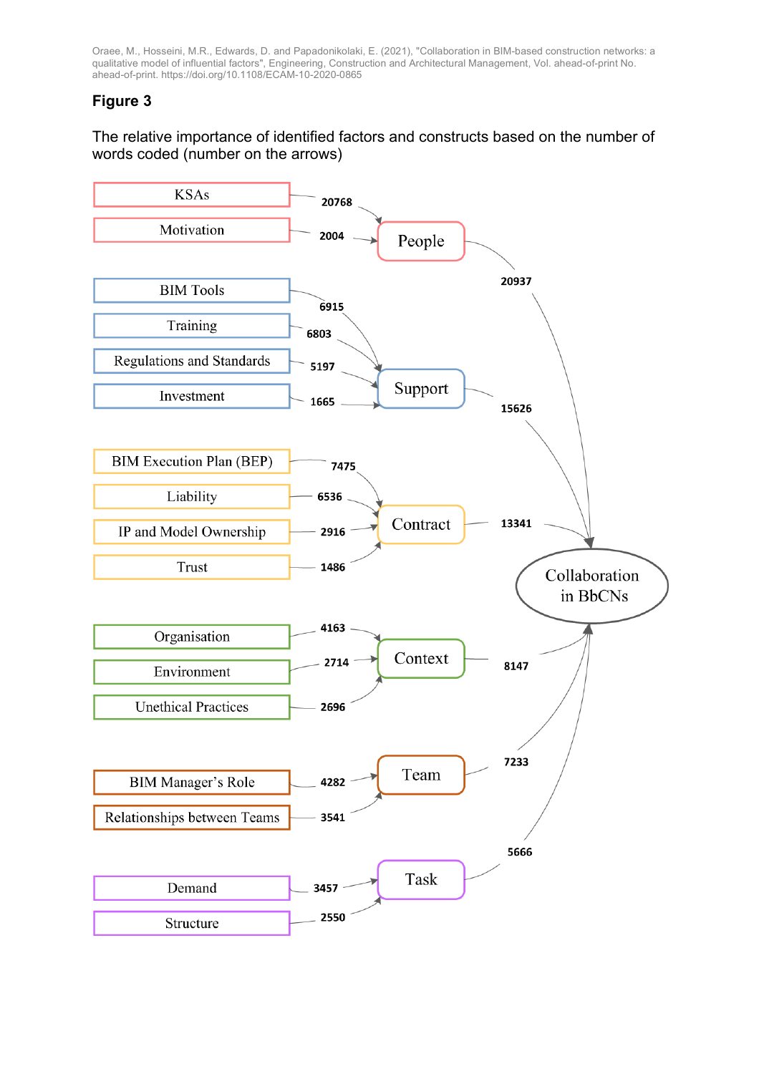#### **Figure 3**

#### The relative importance of identified factors and constructs based on the number of words coded (number on the arrows)

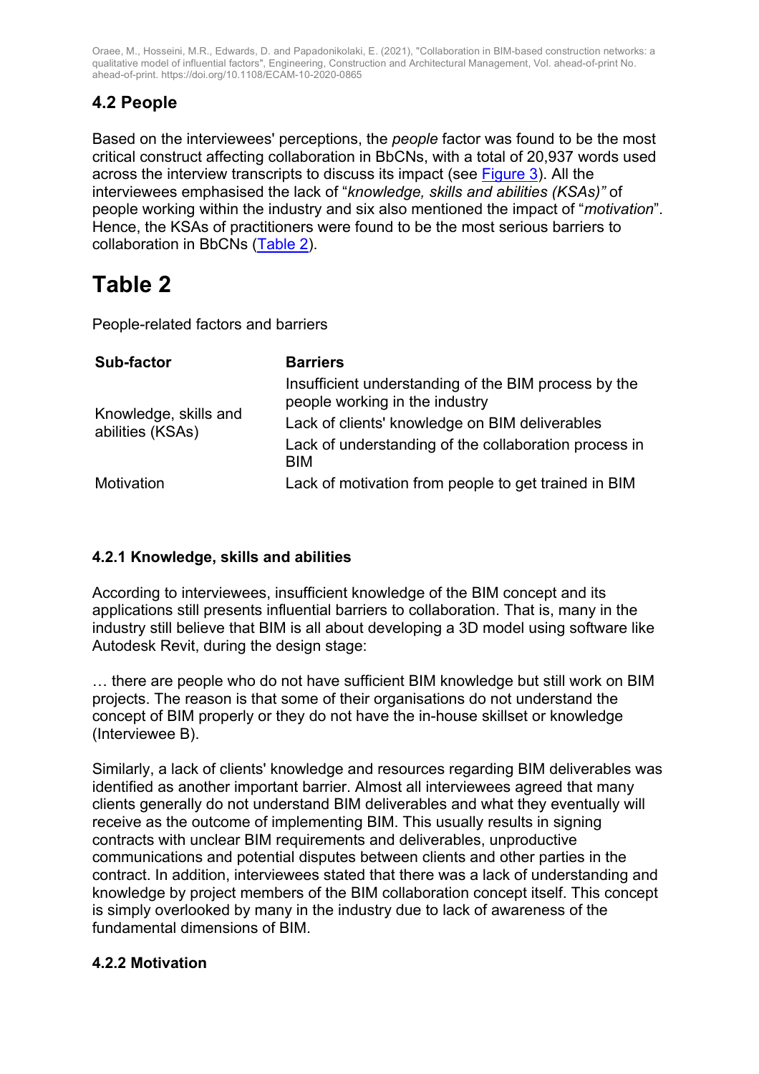### **4.2 People**

Based on the interviewees' perceptions, the *people* factor was found to be the most critical construct affecting collaboration in BbCNs, with a total of 20,937 words used across the interview transcripts to discuss its impact (see Figure 3). All the interviewees emphasised the lack of "*knowledge, skills and abilities (KSAs)"* of people working within the industry and six also mentioned the impact of "*motivation*". Hence, the KSAs of practitioners were found to be the most serious barriers to collaboration in BbCNs (Table 2).

## **Table 2**

People-related factors and barriers

| <b>Sub-factor</b>                         | <b>Barriers</b>                                                                        |  |  |
|-------------------------------------------|----------------------------------------------------------------------------------------|--|--|
|                                           | Insufficient understanding of the BIM process by the<br>people working in the industry |  |  |
| Knowledge, skills and<br>abilities (KSAs) | Lack of clients' knowledge on BIM deliverables                                         |  |  |
|                                           | Lack of understanding of the collaboration process in<br><b>BIM</b>                    |  |  |
| Motivation                                | Lack of motivation from people to get trained in BIM                                   |  |  |

#### **4.2.1 Knowledge, skills and abilities**

According to interviewees, insufficient knowledge of the BIM concept and its applications still presents influential barriers to collaboration. That is, many in the industry still believe that BIM is all about developing a 3D model using software like Autodesk Revit, during the design stage:

… there are people who do not have sufficient BIM knowledge but still work on BIM projects. The reason is that some of their organisations do not understand the concept of BIM properly or they do not have the in-house skillset or knowledge (Interviewee B).

Similarly, a lack of clients' knowledge and resources regarding BIM deliverables was identified as another important barrier. Almost all interviewees agreed that many clients generally do not understand BIM deliverables and what they eventually will receive as the outcome of implementing BIM. This usually results in signing contracts with unclear BIM requirements and deliverables, unproductive communications and potential disputes between clients and other parties in the contract. In addition, interviewees stated that there was a lack of understanding and knowledge by project members of the BIM collaboration concept itself. This concept is simply overlooked by many in the industry due to lack of awareness of the fundamental dimensions of BIM.

#### **4.2.2 Motivation**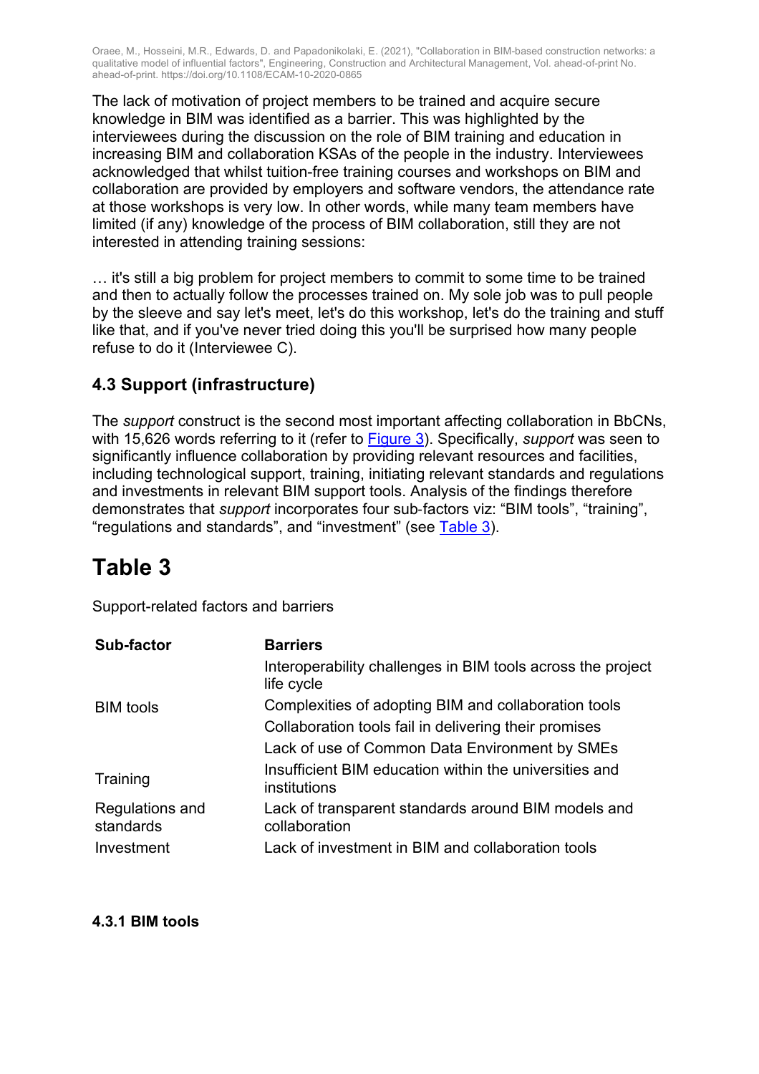The lack of motivation of project members to be trained and acquire secure knowledge in BIM was identified as a barrier. This was highlighted by the interviewees during the discussion on the role of BIM training and education in increasing BIM and collaboration KSAs of the people in the industry. Interviewees acknowledged that whilst tuition-free training courses and workshops on BIM and collaboration are provided by employers and software vendors, the attendance rate at those workshops is very low. In other words, while many team members have limited (if any) knowledge of the process of BIM collaboration, still they are not interested in attending training sessions:

… it's still a big problem for project members to commit to some time to be trained and then to actually follow the processes trained on. My sole job was to pull people by the sleeve and say let's meet, let's do this workshop, let's do the training and stuff like that, and if you've never tried doing this you'll be surprised how many people refuse to do it (Interviewee C).

### **4.3 Support (infrastructure)**

The *support* construct is the second most important affecting collaboration in BbCNs, with 15,626 words referring to it (refer to Figure 3). Specifically, *support* was seen to significantly influence collaboration by providing relevant resources and facilities, including technological support, training, initiating relevant standards and regulations and investments in relevant BIM support tools. Analysis of the findings therefore demonstrates that *support* incorporates four sub-factors viz: "BIM tools", "training", "regulations and standards", and "investment" (see Table 3).

## **Table 3**

Support-related factors and barriers

| <b>Sub-factor</b>            | <b>Barriers</b>                                                           |  |  |
|------------------------------|---------------------------------------------------------------------------|--|--|
|                              | Interoperability challenges in BIM tools across the project<br>life cycle |  |  |
| <b>BIM</b> tools             | Complexities of adopting BIM and collaboration tools                      |  |  |
|                              | Collaboration tools fail in delivering their promises                     |  |  |
|                              | Lack of use of Common Data Environment by SMEs                            |  |  |
| Training                     | Insufficient BIM education within the universities and<br>institutions    |  |  |
| Regulations and<br>standards | Lack of transparent standards around BIM models and<br>collaboration      |  |  |
| Investment                   | Lack of investment in BIM and collaboration tools                         |  |  |

**4.3.1 BIM tools**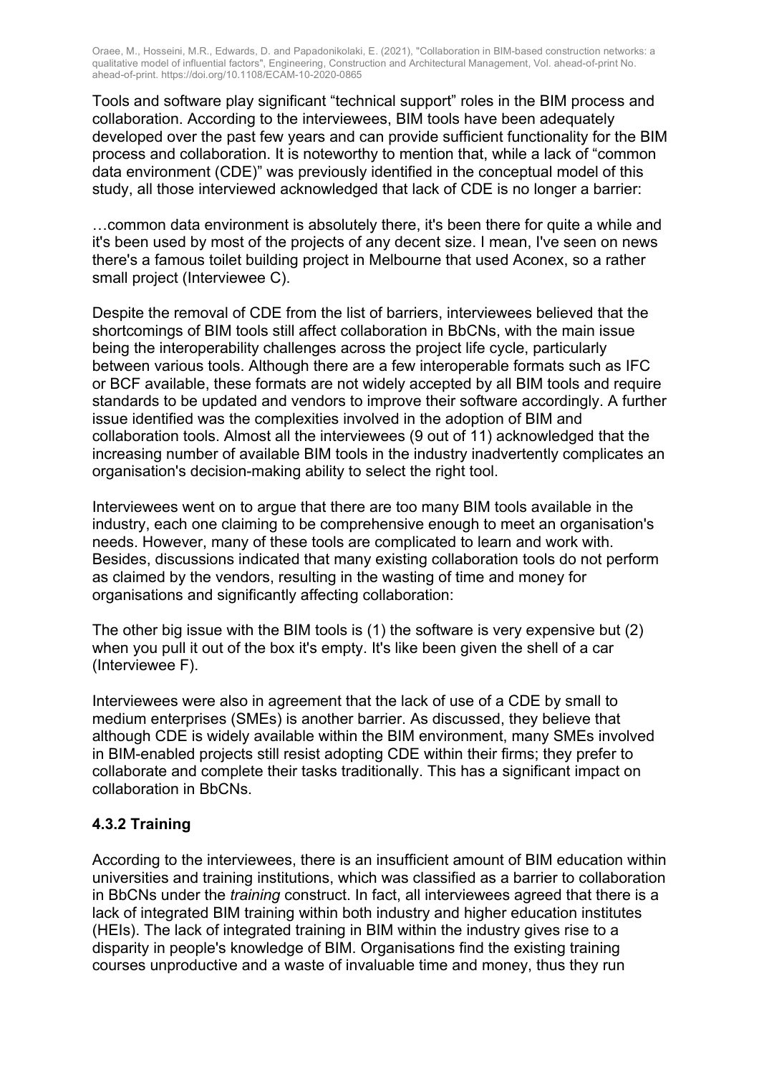Tools and software play significant "technical support" roles in the BIM process and collaboration. According to the interviewees, BIM tools have been adequately developed over the past few years and can provide sufficient functionality for the BIM process and collaboration. It is noteworthy to mention that, while a lack of "common data environment (CDE)" was previously identified in the conceptual model of this study, all those interviewed acknowledged that lack of CDE is no longer a barrier:

…common data environment is absolutely there, it's been there for quite a while and it's been used by most of the projects of any decent size. I mean, I've seen on news there's a famous toilet building project in Melbourne that used Aconex, so a rather small project (Interviewee C).

Despite the removal of CDE from the list of barriers, interviewees believed that the shortcomings of BIM tools still affect collaboration in BbCNs, with the main issue being the interoperability challenges across the project life cycle, particularly between various tools. Although there are a few interoperable formats such as IFC or BCF available, these formats are not widely accepted by all BIM tools and require standards to be updated and vendors to improve their software accordingly. A further issue identified was the complexities involved in the adoption of BIM and collaboration tools. Almost all the interviewees (9 out of 11) acknowledged that the increasing number of available BIM tools in the industry inadvertently complicates an organisation's decision-making ability to select the right tool.

Interviewees went on to argue that there are too many BIM tools available in the industry, each one claiming to be comprehensive enough to meet an organisation's needs. However, many of these tools are complicated to learn and work with. Besides, discussions indicated that many existing collaboration tools do not perform as claimed by the vendors, resulting in the wasting of time and money for organisations and significantly affecting collaboration:

The other big issue with the BIM tools is (1) the software is very expensive but (2) when you pull it out of the box it's empty. It's like been given the shell of a car (Interviewee F).

Interviewees were also in agreement that the lack of use of a CDE by small to medium enterprises (SMEs) is another barrier. As discussed, they believe that although CDE is widely available within the BIM environment, many SMEs involved in BIM-enabled projects still resist adopting CDE within their firms; they prefer to collaborate and complete their tasks traditionally. This has a significant impact on collaboration in BbCNs.

#### **4.3.2 Training**

According to the interviewees, there is an insufficient amount of BIM education within universities and training institutions, which was classified as a barrier to collaboration in BbCNs under the *training* construct. In fact, all interviewees agreed that there is a lack of integrated BIM training within both industry and higher education institutes (HEIs). The lack of integrated training in BIM within the industry gives rise to a disparity in people's knowledge of BIM. Organisations find the existing training courses unproductive and a waste of invaluable time and money, thus they run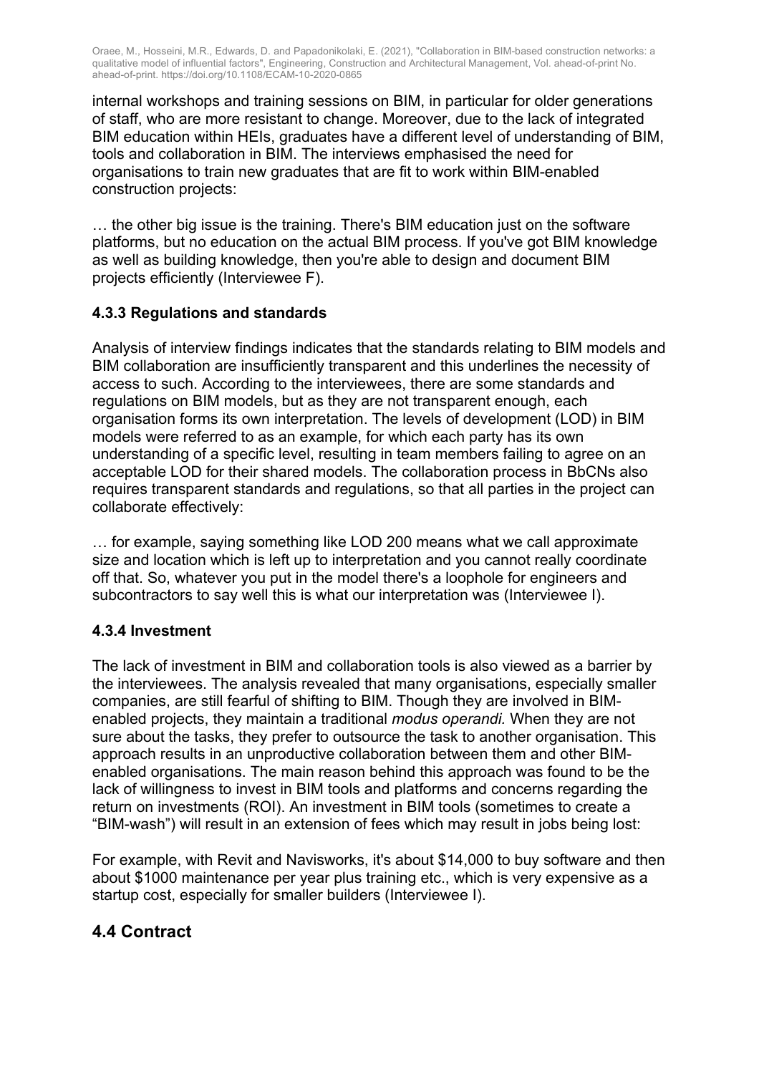internal workshops and training sessions on BIM, in particular for older generations of staff, who are more resistant to change. Moreover, due to the lack of integrated BIM education within HEIs, graduates have a different level of understanding of BIM, tools and collaboration in BIM. The interviews emphasised the need for organisations to train new graduates that are fit to work within BIM-enabled construction projects:

… the other big issue is the training. There's BIM education just on the software platforms, but no education on the actual BIM process. If you've got BIM knowledge as well as building knowledge, then you're able to design and document BIM projects efficiently (Interviewee F).

#### **4.3.3 Regulations and standards**

Analysis of interview findings indicates that the standards relating to BIM models and BIM collaboration are insufficiently transparent and this underlines the necessity of access to such. According to the interviewees, there are some standards and regulations on BIM models, but as they are not transparent enough, each organisation forms its own interpretation. The levels of development (LOD) in BIM models were referred to as an example, for which each party has its own understanding of a specific level, resulting in team members failing to agree on an acceptable LOD for their shared models. The collaboration process in BbCNs also requires transparent standards and regulations, so that all parties in the project can collaborate effectively:

… for example, saying something like LOD 200 means what we call approximate size and location which is left up to interpretation and you cannot really coordinate off that. So, whatever you put in the model there's a loophole for engineers and subcontractors to say well this is what our interpretation was (Interviewee I).

#### **4.3.4 Investment**

The lack of investment in BIM and collaboration tools is also viewed as a barrier by the interviewees. The analysis revealed that many organisations, especially smaller companies, are still fearful of shifting to BIM. Though they are involved in BIMenabled projects, they maintain a traditional *modus operandi.* When they are not sure about the tasks, they prefer to outsource the task to another organisation. This approach results in an unproductive collaboration between them and other BIMenabled organisations. The main reason behind this approach was found to be the lack of willingness to invest in BIM tools and platforms and concerns regarding the return on investments (ROI). An investment in BIM tools (sometimes to create a "BIM-wash") will result in an extension of fees which may result in jobs being lost:

For example, with Revit and Navisworks, it's about \$14,000 to buy software and then about \$1000 maintenance per year plus training etc., which is very expensive as a startup cost, especially for smaller builders (Interviewee I).

#### **4.4 Contract**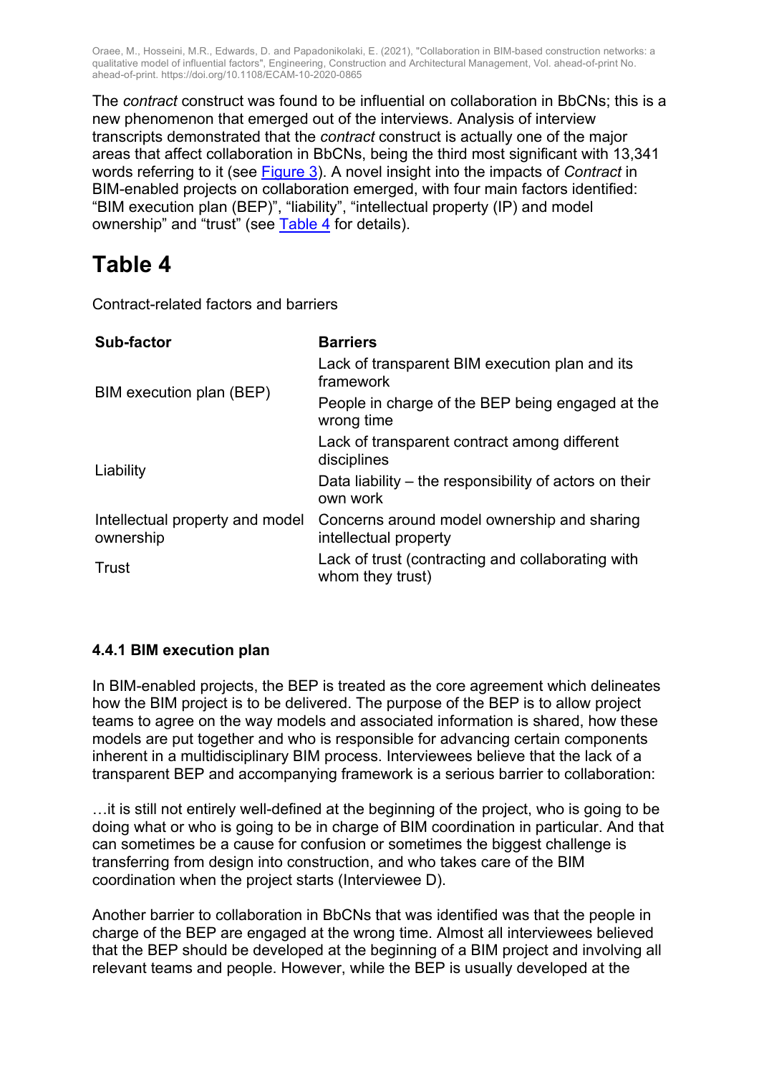The *contract* construct was found to be influential on collaboration in BbCNs; this is a new phenomenon that emerged out of the interviews. Analysis of interview transcripts demonstrated that the *contract* construct is actually one of the major areas that affect collaboration in BbCNs, being the third most significant with 13,341 words referring to it (see Figure 3). A novel insight into the impacts of *Contract* in BIM-enabled projects on collaboration emerged, with four main factors identified: "BIM execution plan (BEP)", "liability", "intellectual property (IP) and model ownership" and "trust" (see Table 4 for details).

## **Table 4**

Contract-related factors and barriers

| Sub-factor                                   | <b>Barriers</b>                                                       |  |  |
|----------------------------------------------|-----------------------------------------------------------------------|--|--|
|                                              | Lack of transparent BIM execution plan and its<br>framework           |  |  |
| BIM execution plan (BEP)                     | People in charge of the BEP being engaged at the<br>wrong time        |  |  |
|                                              | Lack of transparent contract among different<br>disciplines           |  |  |
| Liability                                    | Data liability – the responsibility of actors on their<br>own work    |  |  |
| Intellectual property and model<br>ownership | Concerns around model ownership and sharing<br>intellectual property  |  |  |
| Trust                                        | Lack of trust (contracting and collaborating with<br>whom they trust) |  |  |

#### **4.4.1 BIM execution plan**

In BIM-enabled projects, the BEP is treated as the core agreement which delineates how the BIM project is to be delivered. The purpose of the BEP is to allow project teams to agree on the way models and associated information is shared, how these models are put together and who is responsible for advancing certain components inherent in a multidisciplinary BIM process. Interviewees believe that the lack of a transparent BEP and accompanying framework is a serious barrier to collaboration:

…it is still not entirely well-defined at the beginning of the project, who is going to be doing what or who is going to be in charge of BIM coordination in particular. And that can sometimes be a cause for confusion or sometimes the biggest challenge is transferring from design into construction, and who takes care of the BIM coordination when the project starts (Interviewee D).

Another barrier to collaboration in BbCNs that was identified was that the people in charge of the BEP are engaged at the wrong time. Almost all interviewees believed that the BEP should be developed at the beginning of a BIM project and involving all relevant teams and people. However, while the BEP is usually developed at the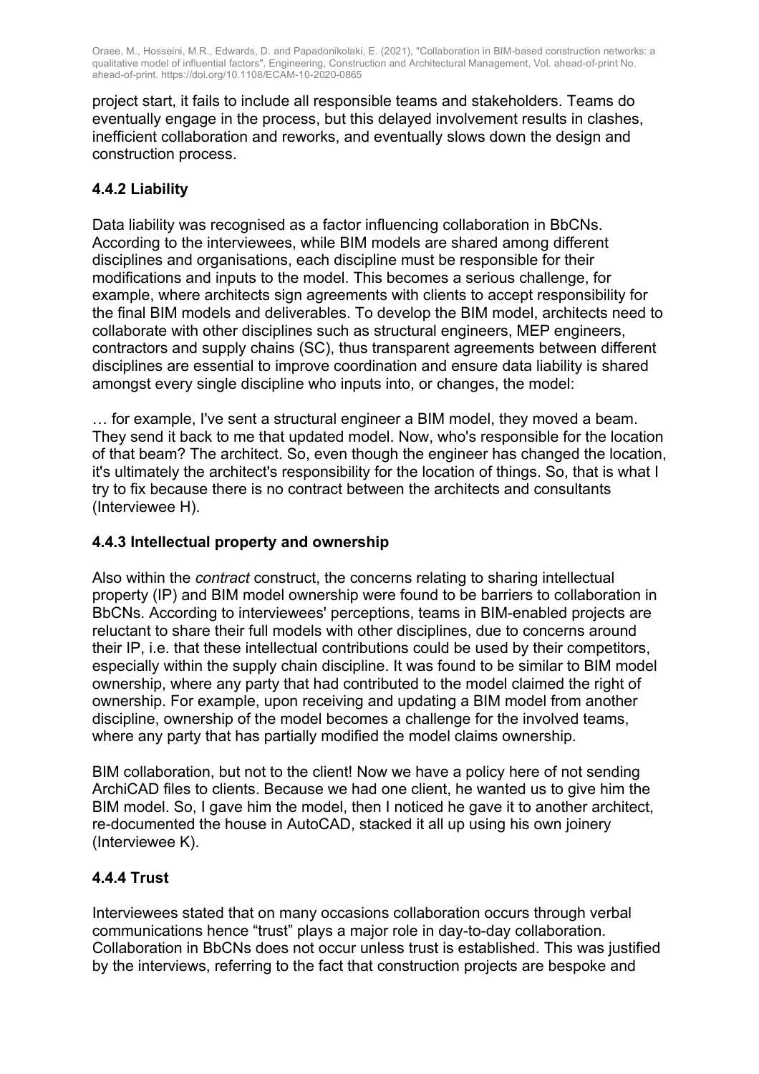project start, it fails to include all responsible teams and stakeholders. Teams do eventually engage in the process, but this delayed involvement results in clashes, inefficient collaboration and reworks, and eventually slows down the design and construction process.

#### **4.4.2 Liability**

Data liability was recognised as a factor influencing collaboration in BbCNs. According to the interviewees, while BIM models are shared among different disciplines and organisations, each discipline must be responsible for their modifications and inputs to the model. This becomes a serious challenge, for example, where architects sign agreements with clients to accept responsibility for the final BIM models and deliverables. To develop the BIM model, architects need to collaborate with other disciplines such as structural engineers, MEP engineers, contractors and supply chains (SC), thus transparent agreements between different disciplines are essential to improve coordination and ensure data liability is shared amongst every single discipline who inputs into, or changes, the model:

… for example, I've sent a structural engineer a BIM model, they moved a beam. They send it back to me that updated model. Now, who's responsible for the location of that beam? The architect. So, even though the engineer has changed the location, it's ultimately the architect's responsibility for the location of things. So, that is what I try to fix because there is no contract between the architects and consultants (Interviewee H).

#### **4.4.3 Intellectual property and ownership**

Also within the *contract* construct, the concerns relating to sharing intellectual property (IP) and BIM model ownership were found to be barriers to collaboration in BbCNs. According to interviewees' perceptions, teams in BIM-enabled projects are reluctant to share their full models with other disciplines, due to concerns around their IP, i.e. that these intellectual contributions could be used by their competitors, especially within the supply chain discipline. It was found to be similar to BIM model ownership, where any party that had contributed to the model claimed the right of ownership. For example, upon receiving and updating a BIM model from another discipline, ownership of the model becomes a challenge for the involved teams, where any party that has partially modified the model claims ownership.

BIM collaboration, but not to the client! Now we have a policy here of not sending ArchiCAD files to clients. Because we had one client, he wanted us to give him the BIM model. So, I gave him the model, then I noticed he gave it to another architect, re-documented the house in AutoCAD, stacked it all up using his own joinery (Interviewee K).

#### **4.4.4 Trust**

Interviewees stated that on many occasions collaboration occurs through verbal communications hence "trust" plays a major role in day-to-day collaboration. Collaboration in BbCNs does not occur unless trust is established. This was justified by the interviews, referring to the fact that construction projects are bespoke and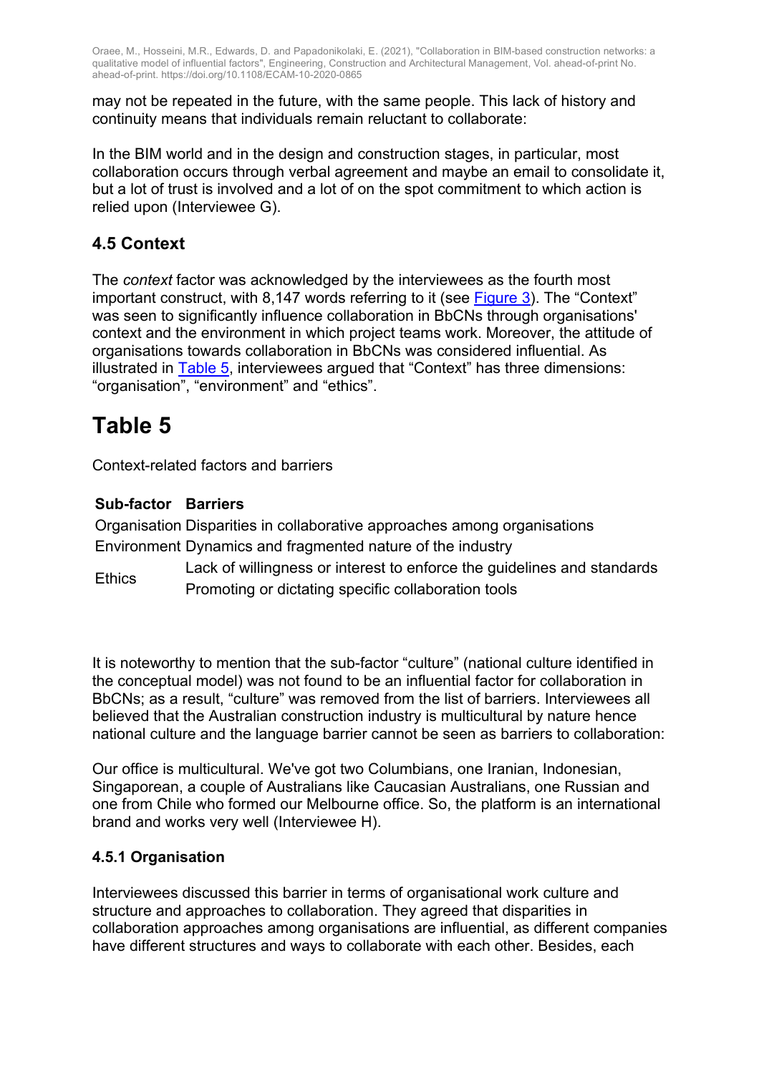may not be repeated in the future, with the same people. This lack of history and continuity means that individuals remain reluctant to collaborate:

In the BIM world and in the design and construction stages, in particular, most collaboration occurs through verbal agreement and maybe an email to consolidate it, but a lot of trust is involved and a lot of on the spot commitment to which action is relied upon (Interviewee G).

### **4.5 Context**

The *context* factor was acknowledged by the interviewees as the fourth most important construct, with 8,147 words referring to it (see Figure 3). The "Context" was seen to significantly influence collaboration in BbCNs through organisations' context and the environment in which project teams work. Moreover, the attitude of organisations towards collaboration in BbCNs was considered influential. As illustrated in  $\overline{\text{Table 5}}$ , interviewees argued that "Context" has three dimensions: "organisation", "environment" and "ethics".

## **Table 5**

Context-related factors and barriers

#### **Sub-factor Barriers**

Organisation Disparities in collaborative approaches among organisations Environment Dynamics and fragmented nature of the industry

Ethics Lack of willingness or interest to enforce the guidelines and standards Promoting or dictating specific collaboration tools

It is noteworthy to mention that the sub-factor "culture" (national culture identified in the conceptual model) was not found to be an influential factor for collaboration in BbCNs; as a result, "culture" was removed from the list of barriers. Interviewees all believed that the Australian construction industry is multicultural by nature hence national culture and the language barrier cannot be seen as barriers to collaboration:

Our office is multicultural. We've got two Columbians, one Iranian, Indonesian, Singaporean, a couple of Australians like Caucasian Australians, one Russian and one from Chile who formed our Melbourne office. So, the platform is an international brand and works very well (Interviewee H).

#### **4.5.1 Organisation**

Interviewees discussed this barrier in terms of organisational work culture and structure and approaches to collaboration. They agreed that disparities in collaboration approaches among organisations are influential, as different companies have different structures and ways to collaborate with each other. Besides, each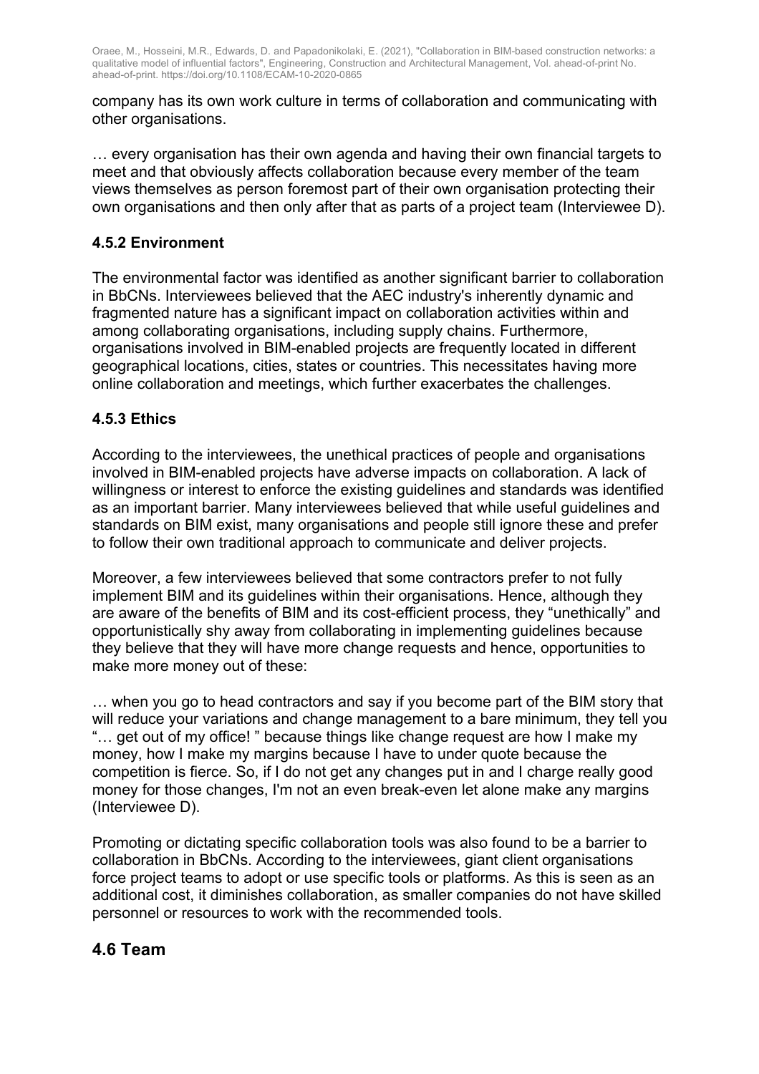company has its own work culture in terms of collaboration and communicating with other organisations.

… every organisation has their own agenda and having their own financial targets to meet and that obviously affects collaboration because every member of the team views themselves as person foremost part of their own organisation protecting their own organisations and then only after that as parts of a project team (Interviewee D).

#### **4.5.2 Environment**

The environmental factor was identified as another significant barrier to collaboration in BbCNs. Interviewees believed that the AEC industry's inherently dynamic and fragmented nature has a significant impact on collaboration activities within and among collaborating organisations, including supply chains. Furthermore, organisations involved in BIM-enabled projects are frequently located in different geographical locations, cities, states or countries. This necessitates having more online collaboration and meetings, which further exacerbates the challenges.

#### **4.5.3 Ethics**

According to the interviewees, the unethical practices of people and organisations involved in BIM-enabled projects have adverse impacts on collaboration. A lack of willingness or interest to enforce the existing guidelines and standards was identified as an important barrier. Many interviewees believed that while useful guidelines and standards on BIM exist, many organisations and people still ignore these and prefer to follow their own traditional approach to communicate and deliver projects.

Moreover, a few interviewees believed that some contractors prefer to not fully implement BIM and its quidelines within their organisations. Hence, although they are aware of the benefits of BIM and its cost-efficient process, they "unethically" and opportunistically shy away from collaborating in implementing guidelines because they believe that they will have more change requests and hence, opportunities to make more money out of these:

… when you go to head contractors and say if you become part of the BIM story that will reduce your variations and change management to a bare minimum, they tell you "… get out of my office! " because things like change request are how I make my money, how I make my margins because I have to under quote because the competition is fierce. So, if I do not get any changes put in and I charge really good money for those changes, I'm not an even break-even let alone make any margins (Interviewee D).

Promoting or dictating specific collaboration tools was also found to be a barrier to collaboration in BbCNs. According to the interviewees, giant client organisations force project teams to adopt or use specific tools or platforms. As this is seen as an additional cost, it diminishes collaboration, as smaller companies do not have skilled personnel or resources to work with the recommended tools.

#### **4.6 Team**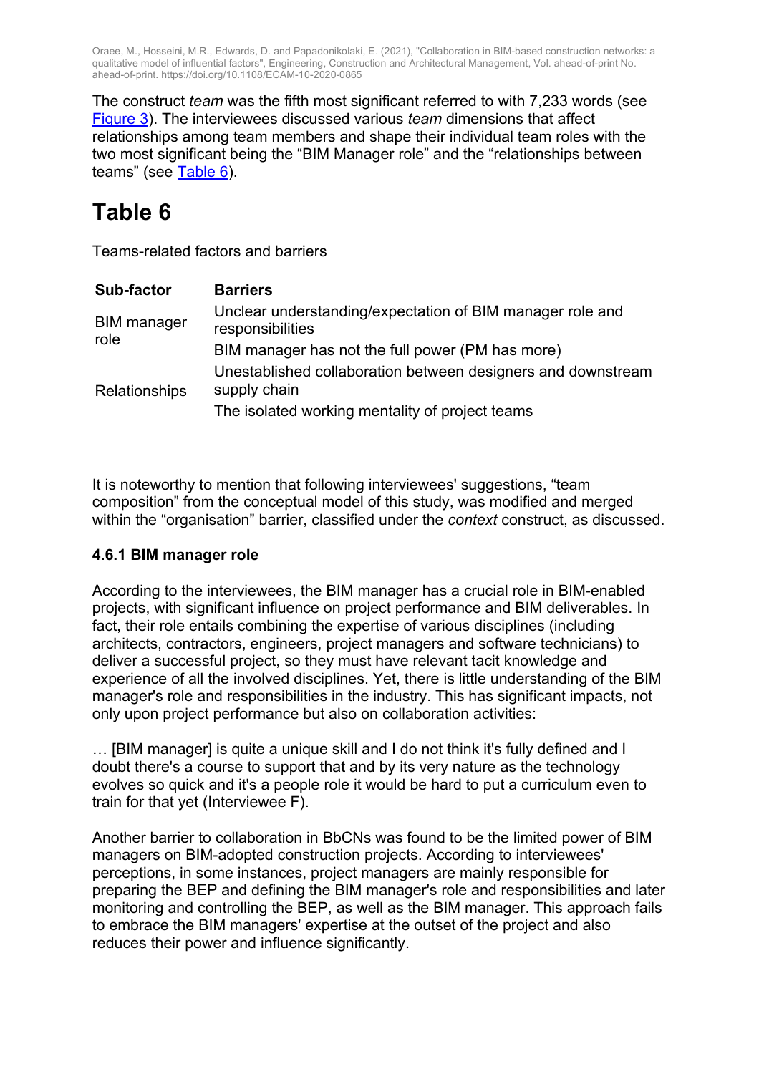The construct *team* was the fifth most significant referred to with 7,233 words (see Figure 3). The interviewees discussed various *team* dimensions that affect relationships among team members and shape their individual team roles with the two most significant being the "BIM Manager role" and the "relationships between teams" (see Table 6).

## **Table 6**

Teams-related factors and barriers

| <b>Sub-factor</b>          | <b>Barriers</b>                                                               |
|----------------------------|-------------------------------------------------------------------------------|
| <b>BIM</b> manager<br>role | Unclear understanding/expectation of BIM manager role and<br>responsibilities |
|                            | BIM manager has not the full power (PM has more)                              |
| <b>Relationships</b>       | Unestablished collaboration between designers and downstream<br>supply chain  |
|                            | The isolated working mentality of project teams                               |

It is noteworthy to mention that following interviewees' suggestions, "team composition" from the conceptual model of this study, was modified and merged within the "organisation" barrier, classified under the *context* construct, as discussed.

#### **4.6.1 BIM manager role**

According to the interviewees, the BIM manager has a crucial role in BIM-enabled projects, with significant influence on project performance and BIM deliverables. In fact, their role entails combining the expertise of various disciplines (including architects, contractors, engineers, project managers and software technicians) to deliver a successful project, so they must have relevant tacit knowledge and experience of all the involved disciplines. Yet, there is little understanding of the BIM manager's role and responsibilities in the industry. This has significant impacts, not only upon project performance but also on collaboration activities:

… [BIM manager] is quite a unique skill and I do not think it's fully defined and I doubt there's a course to support that and by its very nature as the technology evolves so quick and it's a people role it would be hard to put a curriculum even to train for that yet (Interviewee F).

Another barrier to collaboration in BbCNs was found to be the limited power of BIM managers on BIM-adopted construction projects. According to interviewees' perceptions, in some instances, project managers are mainly responsible for preparing the BEP and defining the BIM manager's role and responsibilities and later monitoring and controlling the BEP, as well as the BIM manager. This approach fails to embrace the BIM managers' expertise at the outset of the project and also reduces their power and influence significantly.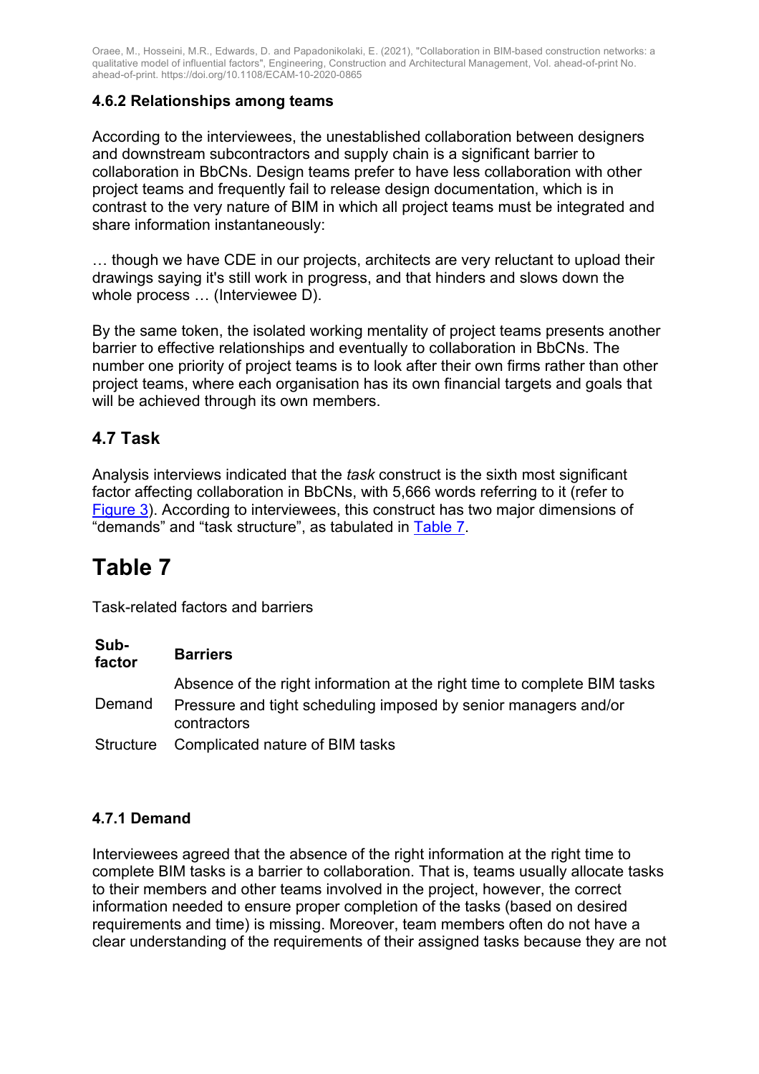#### **4.6.2 Relationships among teams**

According to the interviewees, the unestablished collaboration between designers and downstream subcontractors and supply chain is a significant barrier to collaboration in BbCNs. Design teams prefer to have less collaboration with other project teams and frequently fail to release design documentation, which is in contrast to the very nature of BIM in which all project teams must be integrated and share information instantaneously:

… though we have CDE in our projects, architects are very reluctant to upload their drawings saying it's still work in progress, and that hinders and slows down the whole process … (Interviewee D).

By the same token, the isolated working mentality of project teams presents another barrier to effective relationships and eventually to collaboration in BbCNs. The number one priority of project teams is to look after their own firms rather than other project teams, where each organisation has its own financial targets and goals that will be achieved through its own members.

### **4.7 Task**

Analysis interviews indicated that the *task* construct is the sixth most significant factor affecting collaboration in BbCNs, with 5,666 words referring to it (refer to Figure 3). According to interviewees, this construct has two major dimensions of "demands" and "task structure", as tabulated in Table 7.

## **Table 7**

Task-related factors and barriers

| Sub-<br>factor | <b>Barriers</b>                                                                |
|----------------|--------------------------------------------------------------------------------|
|                | Absence of the right information at the right time to complete BIM tasks       |
| Demand         | Pressure and tight scheduling imposed by senior managers and/or<br>contractors |
| Structure      | Complicated nature of BIM tasks                                                |

#### **4.7.1 Demand**

Interviewees agreed that the absence of the right information at the right time to complete BIM tasks is a barrier to collaboration. That is, teams usually allocate tasks to their members and other teams involved in the project, however, the correct information needed to ensure proper completion of the tasks (based on desired requirements and time) is missing. Moreover, team members often do not have a clear understanding of the requirements of their assigned tasks because they are not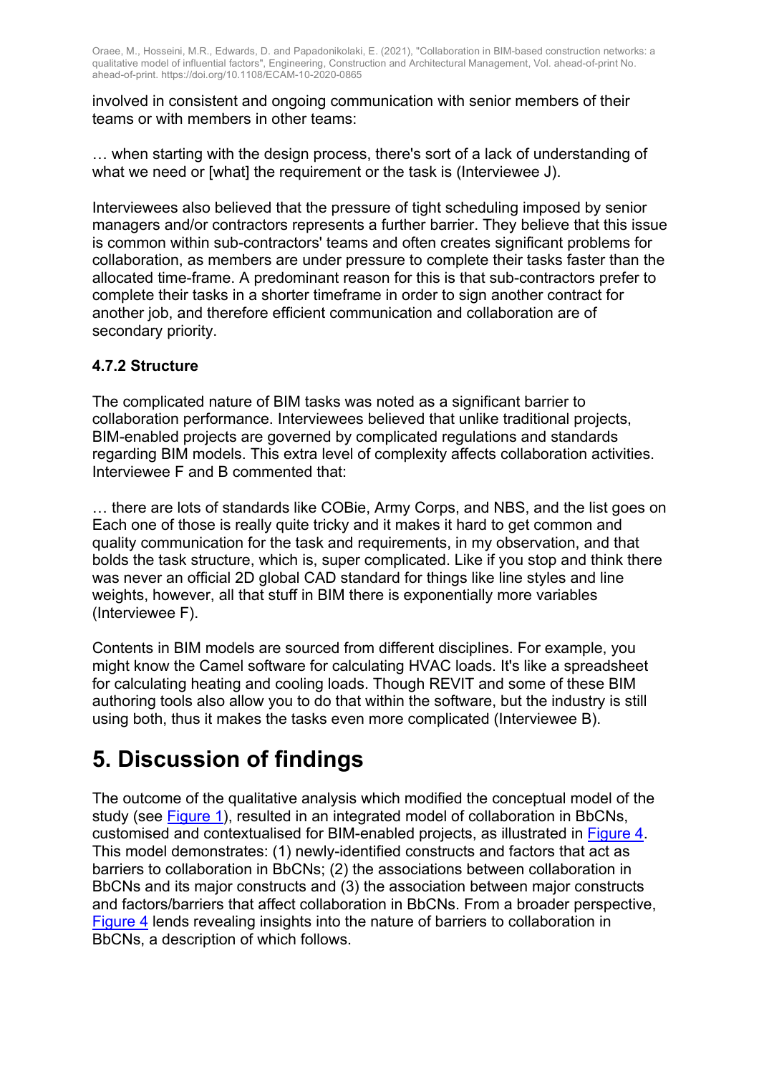involved in consistent and ongoing communication with senior members of their teams or with members in other teams:

… when starting with the design process, there's sort of a lack of understanding of what we need or [what] the requirement or the task is (Interviewee J).

Interviewees also believed that the pressure of tight scheduling imposed by senior managers and/or contractors represents a further barrier. They believe that this issue is common within sub-contractors' teams and often creates significant problems for collaboration, as members are under pressure to complete their tasks faster than the allocated time-frame. A predominant reason for this is that sub-contractors prefer to complete their tasks in a shorter timeframe in order to sign another contract for another job, and therefore efficient communication and collaboration are of secondary priority.

#### **4.7.2 Structure**

The complicated nature of BIM tasks was noted as a significant barrier to collaboration performance. Interviewees believed that unlike traditional projects, BIM-enabled projects are governed by complicated regulations and standards regarding BIM models. This extra level of complexity affects collaboration activities. Interviewee F and B commented that:

… there are lots of standards like COBie, Army Corps, and NBS, and the list goes on Each one of those is really quite tricky and it makes it hard to get common and quality communication for the task and requirements, in my observation, and that bolds the task structure, which is, super complicated. Like if you stop and think there was never an official 2D global CAD standard for things like line styles and line weights, however, all that stuff in BIM there is exponentially more variables (Interviewee F).

Contents in BIM models are sourced from different disciplines. For example, you might know the Camel software for calculating HVAC loads. It's like a spreadsheet for calculating heating and cooling loads. Though REVIT and some of these BIM authoring tools also allow you to do that within the software, but the industry is still using both, thus it makes the tasks even more complicated (Interviewee B).

## **5. Discussion of findings**

The outcome of the qualitative analysis which modified the conceptual model of the study (see Figure 1), resulted in an integrated model of collaboration in BbCNs, customised and contextualised for BIM-enabled projects, as illustrated in Figure 4. This model demonstrates: (1) newly-identified constructs and factors that act as barriers to collaboration in BbCNs; (2) the associations between collaboration in BbCNs and its major constructs and (3) the association between major constructs and factors/barriers that affect collaboration in BbCNs. From a broader perspective, Figure 4 lends revealing insights into the nature of barriers to collaboration in BbCNs, a description of which follows.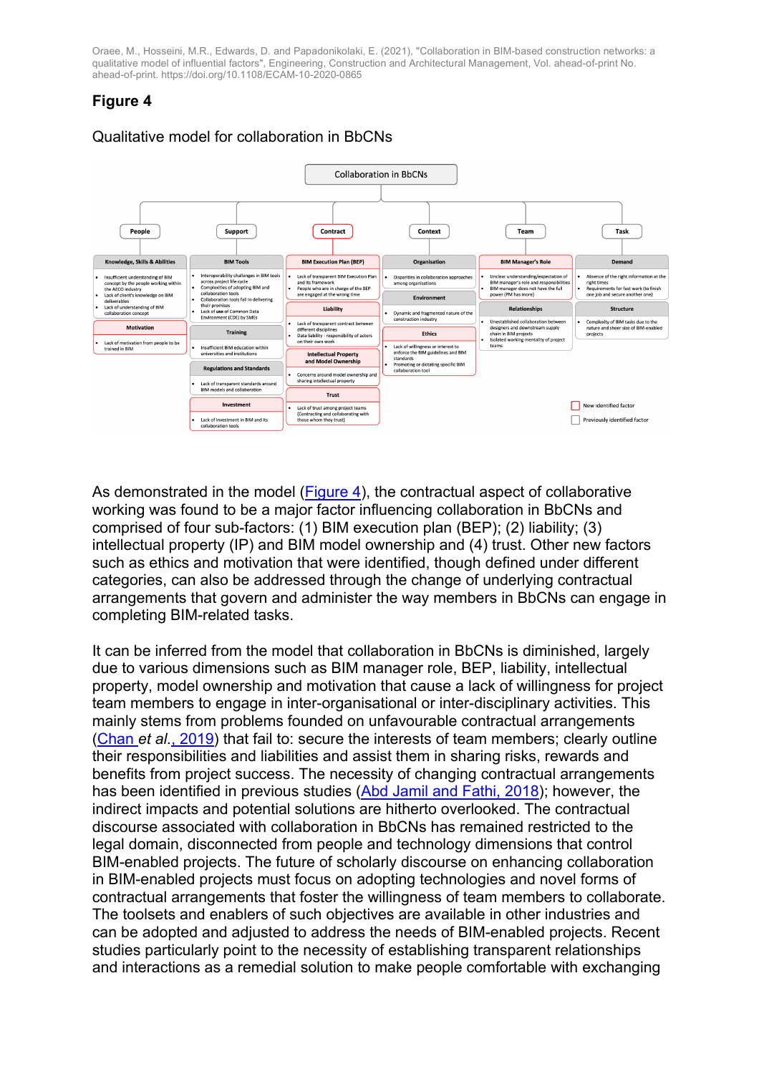### **Figure 4**



Qualitative model for collaboration in BbCNs

As demonstrated in the model (Figure 4), the contractual aspect of collaborative working was found to be a major factor influencing collaboration in BbCNs and comprised of four sub-factors: (1) BIM execution plan (BEP); (2) liability; (3) intellectual property (IP) and BIM model ownership and (4) trust. Other new factors such as ethics and motivation that were identified, though defined under different categories, can also be addressed through the change of underlying contractual arrangements that govern and administer the way members in BbCNs can engage in completing BIM-related tasks.

It can be inferred from the model that collaboration in BbCNs is diminished, largely due to various dimensions such as BIM manager role, BEP, liability, intellectual property, model ownership and motivation that cause a lack of willingness for project team members to engage in inter-organisational or inter-disciplinary activities. This mainly stems from problems founded on unfavourable contractual arrangements (Chan *et al.*, 2019) that fail to: secure the interests of team members; clearly outline their responsibilities and liabilities and assist them in sharing risks, rewards and benefits from project success. The necessity of changing contractual arrangements has been identified in previous studies (Abd Jamil and Fathi, 2018); however, the indirect impacts and potential solutions are hitherto overlooked. The contractual discourse associated with collaboration in BbCNs has remained restricted to the legal domain, disconnected from people and technology dimensions that control BIM-enabled projects. The future of scholarly discourse on enhancing collaboration in BIM-enabled projects must focus on adopting technologies and novel forms of contractual arrangements that foster the willingness of team members to collaborate. The toolsets and enablers of such objectives are available in other industries and can be adopted and adjusted to address the needs of BIM-enabled projects. Recent studies particularly point to the necessity of establishing transparent relationships and interactions as a remedial solution to make people comfortable with exchanging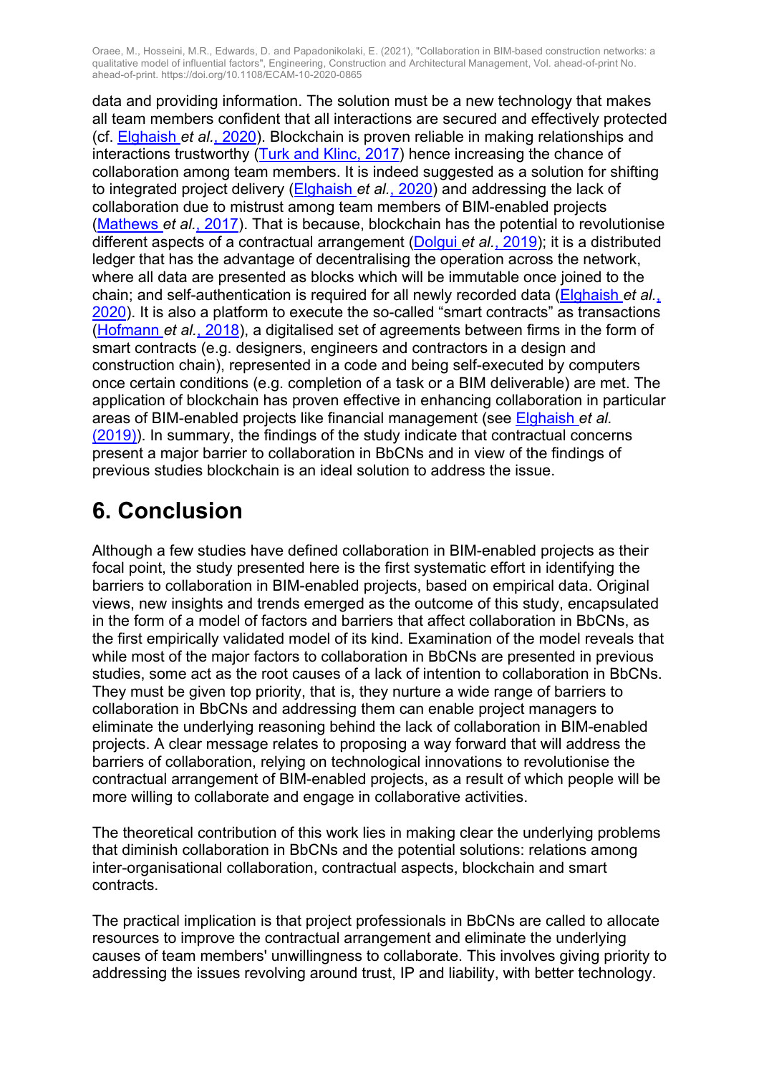data and providing information. The solution must be a new technology that makes all team members confident that all interactions are secured and effectively protected (cf. Elghaish *et al.*, 2020). Blockchain is proven reliable in making relationships and interactions trustworthy (Turk and Klinc, 2017) hence increasing the chance of collaboration among team members. It is indeed suggested as a solution for shifting to integrated project delivery (Elghaish *et al.*, 2020) and addressing the lack of collaboration due to mistrust among team members of BIM-enabled projects (Mathews *et al.*, 2017). That is because, blockchain has the potential to revolutionise different aspects of a contractual arrangement (Dolgui *et al.*, 2019); it is a distributed ledger that has the advantage of decentralising the operation across the network, where all data are presented as blocks which will be immutable once joined to the chain; and self-authentication is required for all newly recorded data (Elghaish *et al.*, 2020). It is also a platform to execute the so-called "smart contracts" as transactions (Hofmann *et al.*, 2018), a digitalised set of agreements between firms in the form of smart contracts (e.g. designers, engineers and contractors in a design and construction chain), represented in a code and being self-executed by computers once certain conditions (e.g. completion of a task or a BIM deliverable) are met. The application of blockchain has proven effective in enhancing collaboration in particular areas of BIM-enabled projects like financial management (see Elghaish *et al.* (2019)). In summary, the findings of the study indicate that contractual concerns present a major barrier to collaboration in BbCNs and in view of the findings of previous studies blockchain is an ideal solution to address the issue.

## **6. Conclusion**

Although a few studies have defined collaboration in BIM-enabled projects as their focal point, the study presented here is the first systematic effort in identifying the barriers to collaboration in BIM-enabled projects, based on empirical data. Original views, new insights and trends emerged as the outcome of this study, encapsulated in the form of a model of factors and barriers that affect collaboration in BbCNs, as the first empirically validated model of its kind. Examination of the model reveals that while most of the major factors to collaboration in BbCNs are presented in previous studies, some act as the root causes of a lack of intention to collaboration in BbCNs. They must be given top priority, that is, they nurture a wide range of barriers to collaboration in BbCNs and addressing them can enable project managers to eliminate the underlying reasoning behind the lack of collaboration in BIM-enabled projects. A clear message relates to proposing a way forward that will address the barriers of collaboration, relying on technological innovations to revolutionise the contractual arrangement of BIM-enabled projects, as a result of which people will be more willing to collaborate and engage in collaborative activities.

The theoretical contribution of this work lies in making clear the underlying problems that diminish collaboration in BbCNs and the potential solutions: relations among inter-organisational collaboration, contractual aspects, blockchain and smart contracts.

The practical implication is that project professionals in BbCNs are called to allocate resources to improve the contractual arrangement and eliminate the underlying causes of team members' unwillingness to collaborate. This involves giving priority to addressing the issues revolving around trust, IP and liability, with better technology.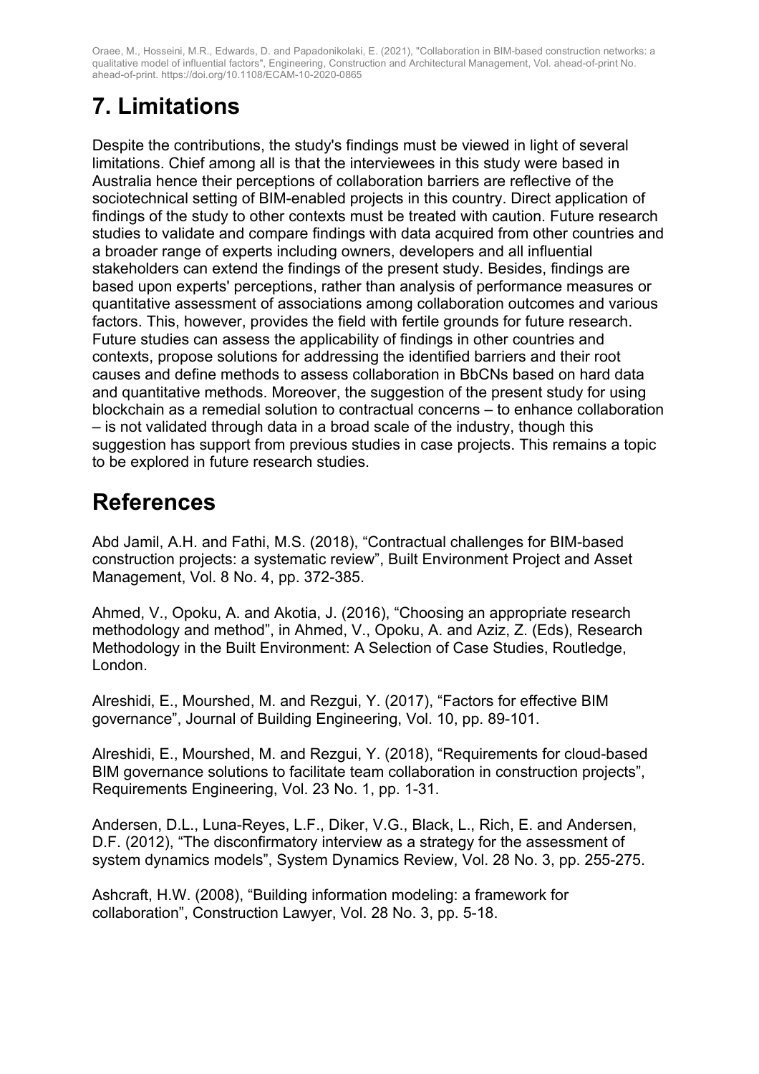# **7. Limitations**

Despite the contributions, the study's findings must be viewed in light of several limitations. Chief among all is that the interviewees in this study were based in Australia hence their perceptions of collaboration barriers are reflective of the sociotechnical setting of BIM-enabled projects in this country. Direct application of findings of the study to other contexts must be treated with caution. Future research studies to validate and compare findings with data acquired from other countries and a broader range of experts including owners, developers and all influential stakeholders can extend the findings of the present study. Besides, findings are based upon experts' perceptions, rather than analysis of performance measures or quantitative assessment of associations among collaboration outcomes and various factors. This, however, provides the field with fertile grounds for future research. Future studies can assess the applicability of findings in other countries and contexts, propose solutions for addressing the identified barriers and their root causes and define methods to assess collaboration in BbCNs based on hard data and quantitative methods. Moreover, the suggestion of the present study for using blockchain as a remedial solution to contractual concerns – to enhance collaboration – is not validated through data in a broad scale of the industry, though this suggestion has support from previous studies in case projects. This remains a topic to be explored in future research studies.

## **References**

Abd Jamil, A.H. and Fathi, M.S. (2018), "Contractual challenges for BIM-based construction projects: a systematic review", Built Environment Project and Asset Management, Vol. 8 No. 4, pp. 372-385.

Ahmed, V., Opoku, A. and Akotia, J. (2016), "Choosing an appropriate research methodology and method", in Ahmed, V., Opoku, A. and Aziz, Z. (Eds), Research Methodology in the Built Environment: A Selection of Case Studies, Routledge, London.

Alreshidi, E., Mourshed, M. and Rezgui, Y. (2017), "Factors for effective BIM governance", Journal of Building Engineering, Vol. 10, pp. 89-101.

Alreshidi, E., Mourshed, M. and Rezgui, Y. (2018), "Requirements for cloud-based BIM governance solutions to facilitate team collaboration in construction projects", Requirements Engineering, Vol. 23 No. 1, pp. 1-31.

Andersen, D.L., Luna-Reyes, L.F., Diker, V.G., Black, L., Rich, E. and Andersen, D.F. (2012), "The disconfirmatory interview as a strategy for the assessment of system dynamics models", System Dynamics Review, Vol. 28 No. 3, pp. 255-275.

Ashcraft, H.W. (2008), "Building information modeling: a framework for collaboration", Construction Lawyer, Vol. 28 No. 3, pp. 5-18.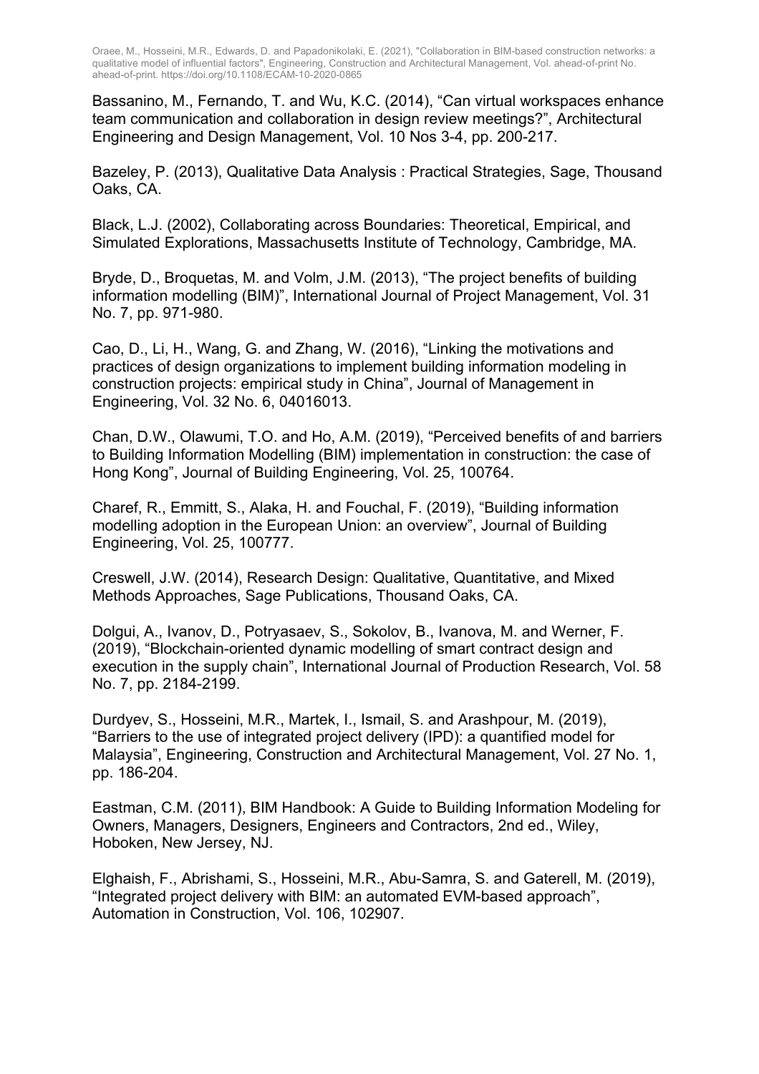Bassanino, M., Fernando, T. and Wu, K.C. (2014), "Can virtual workspaces enhance team communication and collaboration in design review meetings?", Architectural Engineering and Design Management, Vol. 10 Nos 3-4, pp. 200-217.

Bazeley, P. (2013), Qualitative Data Analysis : Practical Strategies, Sage, Thousand Oaks, CA.

Black, L.J. (2002), Collaborating across Boundaries: Theoretical, Empirical, and Simulated Explorations, Massachusetts Institute of Technology, Cambridge, MA.

Bryde, D., Broquetas, M. and Volm, J.M. (2013), "The project benefits of building information modelling (BIM)", International Journal of Project Management, Vol. 31 No. 7, pp. 971-980.

Cao, D., Li, H., Wang, G. and Zhang, W. (2016), "Linking the motivations and practices of design organizations to implement building information modeling in construction projects: empirical study in China", Journal of Management in Engineering, Vol. 32 No. 6, 04016013.

Chan, D.W., Olawumi, T.O. and Ho, A.M. (2019), "Perceived benefits of and barriers to Building Information Modelling (BIM) implementation in construction: the case of Hong Kong", Journal of Building Engineering, Vol. 25, 100764.

Charef, R., Emmitt, S., Alaka, H. and Fouchal, F. (2019), "Building information modelling adoption in the European Union: an overview", Journal of Building Engineering, Vol. 25, 100777.

Creswell, J.W. (2014), Research Design: Qualitative, Quantitative, and Mixed Methods Approaches, Sage Publications, Thousand Oaks, CA.

Dolgui, A., Ivanov, D., Potryasaev, S., Sokolov, B., Ivanova, M. and Werner, F. (2019), "Blockchain-oriented dynamic modelling of smart contract design and execution in the supply chain", International Journal of Production Research, Vol. 58 No. 7, pp. 2184-2199.

Durdyev, S., Hosseini, M.R., Martek, I., Ismail, S. and Arashpour, M. (2019), "Barriers to the use of integrated project delivery (IPD): a quantified model for Malaysia", Engineering, Construction and Architectural Management, Vol. 27 No. 1, pp. 186-204.

Eastman, C.M. (2011), BIM Handbook: A Guide to Building Information Modeling for Owners, Managers, Designers, Engineers and Contractors, 2nd ed., Wiley, Hoboken, New Jersey, NJ.

Elghaish, F., Abrishami, S., Hosseini, M.R., Abu-Samra, S. and Gaterell, M. (2019), "Integrated project delivery with BIM: an automated EVM-based approach", Automation in Construction, Vol. 106, 102907.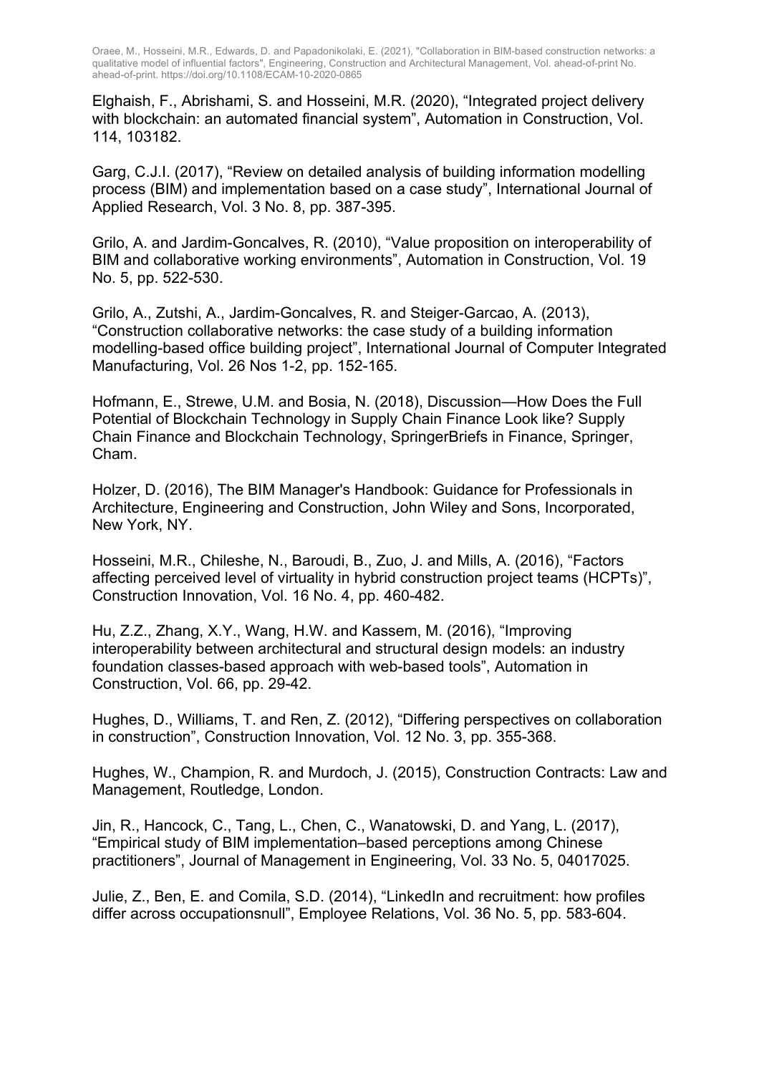Elghaish, F., Abrishami, S. and Hosseini, M.R. (2020), "Integrated project delivery with blockchain: an automated financial system", Automation in Construction, Vol. 114, 103182.

Garg, C.J.I. (2017), "Review on detailed analysis of building information modelling process (BIM) and implementation based on a case study", International Journal of Applied Research, Vol. 3 No. 8, pp. 387-395.

Grilo, A. and Jardim-Goncalves, R. (2010), "Value proposition on interoperability of BIM and collaborative working environments", Automation in Construction, Vol. 19 No. 5, pp. 522-530.

Grilo, A., Zutshi, A., Jardim-Goncalves, R. and Steiger-Garcao, A. (2013), "Construction collaborative networks: the case study of a building information modelling-based office building project", International Journal of Computer Integrated Manufacturing, Vol. 26 Nos 1-2, pp. 152-165.

Hofmann, E., Strewe, U.M. and Bosia, N. (2018), Discussion—How Does the Full Potential of Blockchain Technology in Supply Chain Finance Look like? Supply Chain Finance and Blockchain Technology, SpringerBriefs in Finance, Springer, Cham.

Holzer, D. (2016), The BIM Manager's Handbook: Guidance for Professionals in Architecture, Engineering and Construction, John Wiley and Sons, Incorporated, New York, NY.

Hosseini, M.R., Chileshe, N., Baroudi, B., Zuo, J. and Mills, A. (2016), "Factors affecting perceived level of virtuality in hybrid construction project teams (HCPTs)", Construction Innovation, Vol. 16 No. 4, pp. 460-482.

Hu, Z.Z., Zhang, X.Y., Wang, H.W. and Kassem, M. (2016), "Improving interoperability between architectural and structural design models: an industry foundation classes-based approach with web-based tools", Automation in Construction, Vol. 66, pp. 29-42.

Hughes, D., Williams, T. and Ren, Z. (2012), "Differing perspectives on collaboration in construction", Construction Innovation, Vol. 12 No. 3, pp. 355-368.

Hughes, W., Champion, R. and Murdoch, J. (2015), Construction Contracts: Law and Management, Routledge, London.

Jin, R., Hancock, C., Tang, L., Chen, C., Wanatowski, D. and Yang, L. (2017), "Empirical study of BIM implementation–based perceptions among Chinese practitioners", Journal of Management in Engineering, Vol. 33 No. 5, 04017025.

Julie, Z., Ben, E. and Comila, S.D. (2014), "LinkedIn and recruitment: how profiles differ across occupationsnull", Employee Relations, Vol. 36 No. 5, pp. 583-604.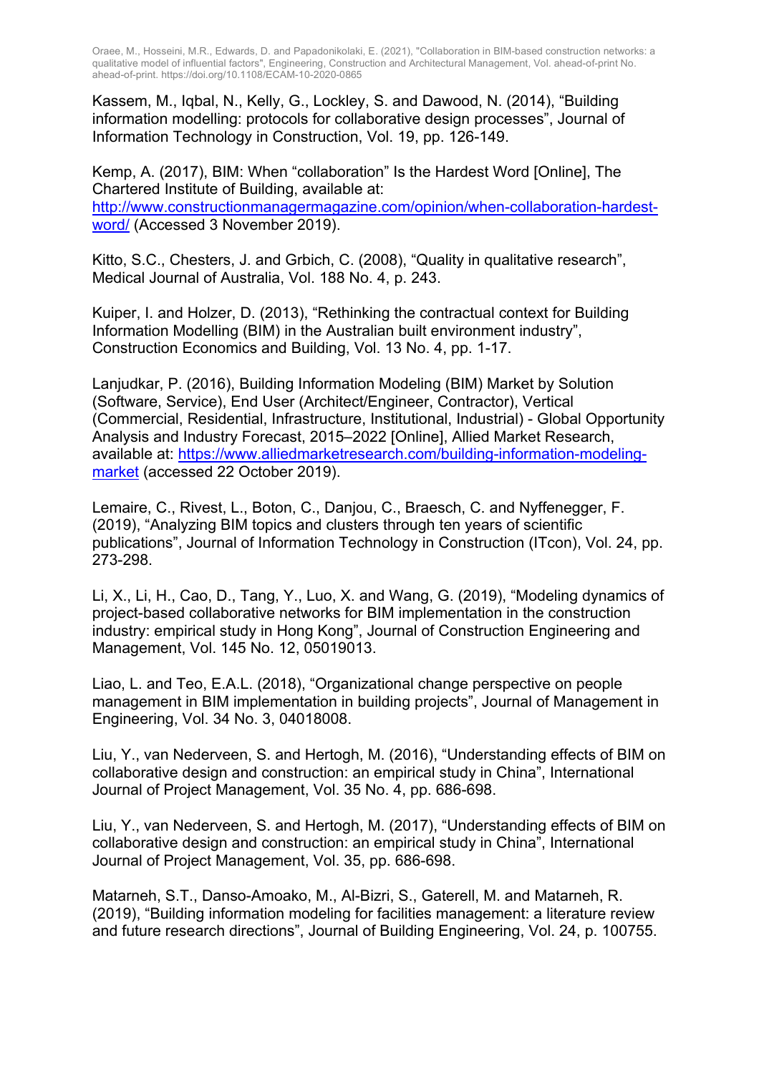Kassem, M., Iqbal, N., Kelly, G., Lockley, S. and Dawood, N. (2014), "Building information modelling: protocols for collaborative design processes", Journal of Information Technology in Construction, Vol. 19, pp. 126-149.

Kemp, A. (2017), BIM: When "collaboration" Is the Hardest Word [Online], The Chartered Institute of Building, available at: http://www.constructionmanagermagazine.com/opinion/when-collaboration-hardestword/ (Accessed 3 November 2019).

Kitto, S.C., Chesters, J. and Grbich, C. (2008), "Quality in qualitative research", Medical Journal of Australia, Vol. 188 No. 4, p. 243.

Kuiper, I. and Holzer, D. (2013), "Rethinking the contractual context for Building Information Modelling (BIM) in the Australian built environment industry", Construction Economics and Building, Vol. 13 No. 4, pp. 1-17.

Lanjudkar, P. (2016), Building Information Modeling (BIM) Market by Solution (Software, Service), End User (Architect/Engineer, Contractor), Vertical (Commercial, Residential, Infrastructure, Institutional, Industrial) - Global Opportunity Analysis and Industry Forecast, 2015–2022 [Online], Allied Market Research, available at: https://www.alliedmarketresearch.com/building-information-modelingmarket (accessed 22 October 2019).

Lemaire, C., Rivest, L., Boton, C., Danjou, C., Braesch, C. and Nyffenegger, F. (2019), "Analyzing BIM topics and clusters through ten years of scientific publications", Journal of Information Technology in Construction (ITcon), Vol. 24, pp. 273-298.

Li, X., Li, H., Cao, D., Tang, Y., Luo, X. and Wang, G. (2019), "Modeling dynamics of project-based collaborative networks for BIM implementation in the construction industry: empirical study in Hong Kong", Journal of Construction Engineering and Management, Vol. 145 No. 12, 05019013.

Liao, L. and Teo, E.A.L. (2018), "Organizational change perspective on people management in BIM implementation in building projects", Journal of Management in Engineering, Vol. 34 No. 3, 04018008.

Liu, Y., van Nederveen, S. and Hertogh, M. (2016), "Understanding effects of BIM on collaborative design and construction: an empirical study in China", International Journal of Project Management, Vol. 35 No. 4, pp. 686-698.

Liu, Y., van Nederveen, S. and Hertogh, M. (2017), "Understanding effects of BIM on collaborative design and construction: an empirical study in China", International Journal of Project Management, Vol. 35, pp. 686-698.

Matarneh, S.T., Danso-Amoako, M., Al-Bizri, S., Gaterell, M. and Matarneh, R. (2019), "Building information modeling for facilities management: a literature review and future research directions", Journal of Building Engineering, Vol. 24, p. 100755.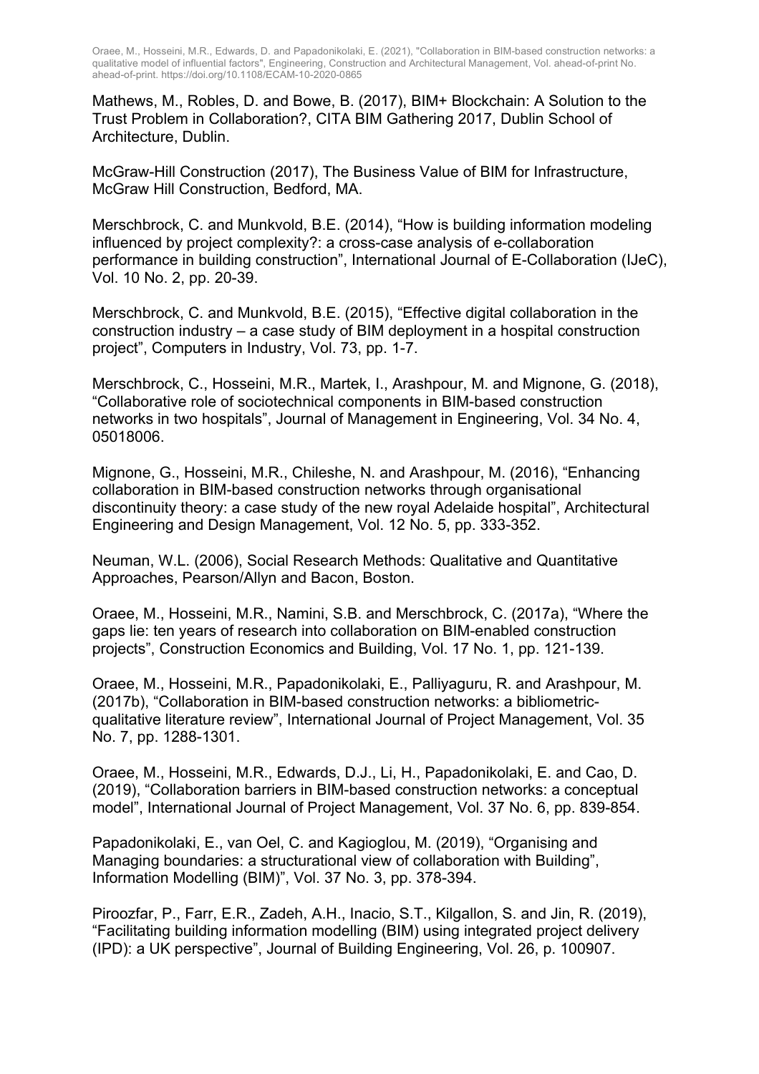Mathews, M., Robles, D. and Bowe, B. (2017), BIM+ Blockchain: A Solution to the Trust Problem in Collaboration?, CITA BIM Gathering 2017, Dublin School of Architecture, Dublin.

McGraw-Hill Construction (2017), The Business Value of BIM for Infrastructure, McGraw Hill Construction, Bedford, MA.

Merschbrock, C. and Munkvold, B.E. (2014), "How is building information modeling influenced by project complexity?: a cross-case analysis of e-collaboration performance in building construction", International Journal of E-Collaboration (IJeC), Vol. 10 No. 2, pp. 20-39.

Merschbrock, C. and Munkvold, B.E. (2015), "Effective digital collaboration in the construction industry – a case study of BIM deployment in a hospital construction project", Computers in Industry, Vol. 73, pp. 1-7.

Merschbrock, C., Hosseini, M.R., Martek, I., Arashpour, M. and Mignone, G. (2018), "Collaborative role of sociotechnical components in BIM-based construction networks in two hospitals", Journal of Management in Engineering, Vol. 34 No. 4, 05018006.

Mignone, G., Hosseini, M.R., Chileshe, N. and Arashpour, M. (2016), "Enhancing collaboration in BIM-based construction networks through organisational discontinuity theory: a case study of the new royal Adelaide hospital", Architectural Engineering and Design Management, Vol. 12 No. 5, pp. 333-352.

Neuman, W.L. (2006), Social Research Methods: Qualitative and Quantitative Approaches, Pearson/Allyn and Bacon, Boston.

Oraee, M., Hosseini, M.R., Namini, S.B. and Merschbrock, C. (2017a), "Where the gaps lie: ten years of research into collaboration on BIM-enabled construction projects", Construction Economics and Building, Vol. 17 No. 1, pp. 121-139.

Oraee, M., Hosseini, M.R., Papadonikolaki, E., Palliyaguru, R. and Arashpour, M. (2017b), "Collaboration in BIM-based construction networks: a bibliometricqualitative literature review", International Journal of Project Management, Vol. 35 No. 7, pp. 1288-1301.

Oraee, M., Hosseini, M.R., Edwards, D.J., Li, H., Papadonikolaki, E. and Cao, D. (2019), "Collaboration barriers in BIM-based construction networks: a conceptual model", International Journal of Project Management, Vol. 37 No. 6, pp. 839-854.

Papadonikolaki, E., van Oel, C. and Kagioglou, M. (2019), "Organising and Managing boundaries: a structurational view of collaboration with Building", Information Modelling (BIM)", Vol. 37 No. 3, pp. 378-394.

Piroozfar, P., Farr, E.R., Zadeh, A.H., Inacio, S.T., Kilgallon, S. and Jin, R. (2019), "Facilitating building information modelling (BIM) using integrated project delivery (IPD): a UK perspective", Journal of Building Engineering, Vol. 26, p. 100907.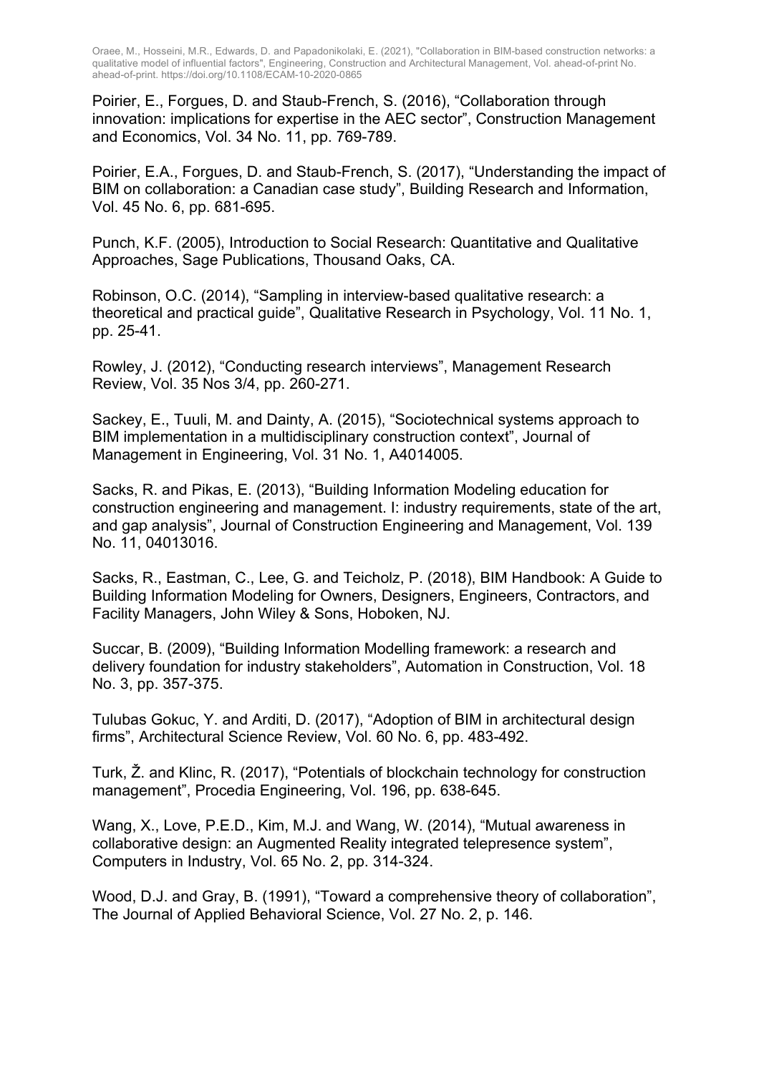Poirier, E., Forgues, D. and Staub-French, S. (2016), "Collaboration through innovation: implications for expertise in the AEC sector", Construction Management and Economics, Vol. 34 No. 11, pp. 769-789.

Poirier, E.A., Forgues, D. and Staub-French, S. (2017), "Understanding the impact of BIM on collaboration: a Canadian case study", Building Research and Information, Vol. 45 No. 6, pp. 681-695.

Punch, K.F. (2005), Introduction to Social Research: Quantitative and Qualitative Approaches, Sage Publications, Thousand Oaks, CA.

Robinson, O.C. (2014), "Sampling in interview-based qualitative research: a theoretical and practical guide", Qualitative Research in Psychology, Vol. 11 No. 1, pp. 25-41.

Rowley, J. (2012), "Conducting research interviews", Management Research Review, Vol. 35 Nos 3/4, pp. 260-271.

Sackey, E., Tuuli, M. and Dainty, A. (2015), "Sociotechnical systems approach to BIM implementation in a multidisciplinary construction context", Journal of Management in Engineering, Vol. 31 No. 1, A4014005.

Sacks, R. and Pikas, E. (2013), "Building Information Modeling education for construction engineering and management. I: industry requirements, state of the art, and gap analysis", Journal of Construction Engineering and Management, Vol. 139 No. 11, 04013016.

Sacks, R., Eastman, C., Lee, G. and Teicholz, P. (2018), BIM Handbook: A Guide to Building Information Modeling for Owners, Designers, Engineers, Contractors, and Facility Managers, John Wiley & Sons, Hoboken, NJ.

Succar, B. (2009), "Building Information Modelling framework: a research and delivery foundation for industry stakeholders", Automation in Construction, Vol. 18 No. 3, pp. 357-375.

Tulubas Gokuc, Y. and Arditi, D. (2017), "Adoption of BIM in architectural design firms", Architectural Science Review, Vol. 60 No. 6, pp. 483-492.

Turk, Ž. and Klinc, R. (2017), "Potentials of blockchain technology for construction management", Procedia Engineering, Vol. 196, pp. 638-645.

Wang, X., Love, P.E.D., Kim, M.J. and Wang, W. (2014), "Mutual awareness in collaborative design: an Augmented Reality integrated telepresence system", Computers in Industry, Vol. 65 No. 2, pp. 314-324.

Wood, D.J. and Gray, B. (1991), "Toward a comprehensive theory of collaboration", The Journal of Applied Behavioral Science, Vol. 27 No. 2, p. 146.